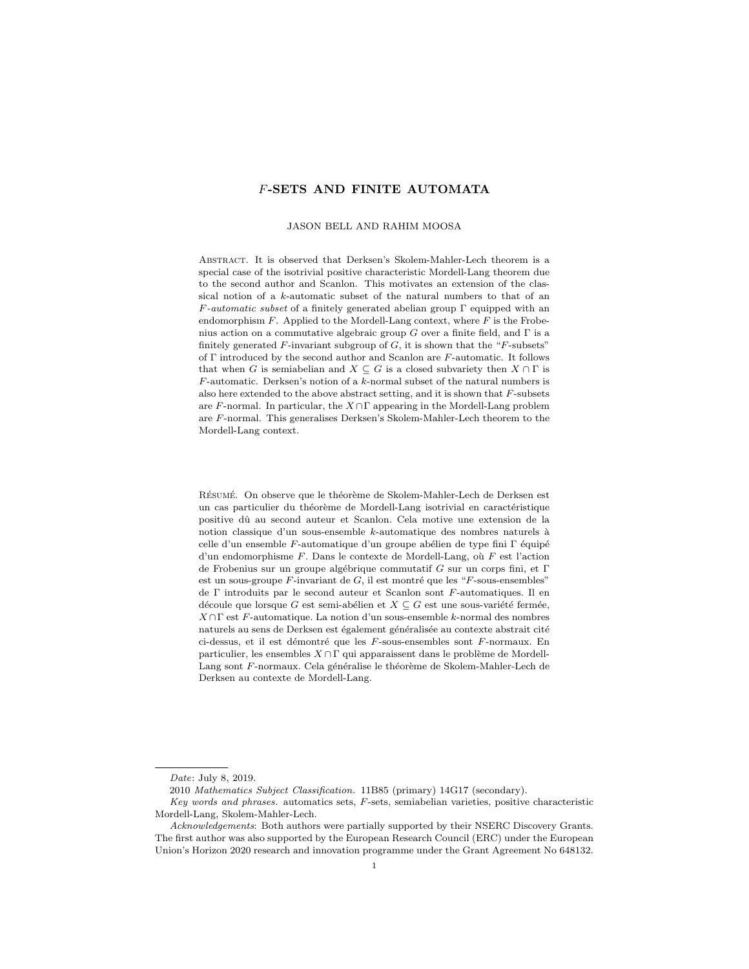# F-SETS AND FINITE AUTOMATA

#### JASON BELL AND RAHIM MOOSA

Abstract. It is observed that Derksen's Skolem-Mahler-Lech theorem is a special case of the isotrivial positive characteristic Mordell-Lang theorem due to the second author and Scanlon. This motivates an extension of the classical notion of a k-automatic subset of the natural numbers to that of an  $F\text{-}automatic subset of a finitely generated abelian group  $\Gamma$  equipped with an$ endomorphism  $F$ . Applied to the Mordell-Lang context, where  $F$  is the Frobenius action on a commutative algebraic group G over a finite field, and  $\Gamma$  is a finitely generated  $F$ -invariant subgroup of  $G$ , it is shown that the " $F$ -subsets" of  $\Gamma$  introduced by the second author and Scanlon are  $F$ -automatic. It follows that when G is semiabelian and  $X \subseteq G$  is a closed subvariety then  $X \cap \Gamma$  is  $F$ -automatic. Derksen's notion of a  $k$ -normal subset of the natural numbers is also here extended to the above abstract setting, and it is shown that  $F$ -subsets are F-normal. In particular, the  $X \cap \Gamma$  appearing in the Mordell-Lang problem are F-normal. This generalises Derksen's Skolem-Mahler-Lech theorem to the Mordell-Lang context.

RÉSUMÉ. On observe que le théorème de Skolem-Mahler-Lech de Derksen est un cas particulier du théorème de Mordell-Lang isotrivial en caractéristique positive dû au second auteur et Scanlon. Cela motive une extension de la notion classique d'un sous-ensemble  $k$ -automatique des nombres naturels à celle d'un ensemble  $F$ -automatique d'un groupe abélien de type fini  $\Gamma$  équipé d'un endomorphisme  $F$ . Dans le contexte de Mordell-Lang, où  $F$  est l'action de Frobenius sur un groupe algébrique commutatif G sur un corps fini, et  $\Gamma$ est un sous-groupe  $F$ -invariant de  $G$ , il est montré que les " $F$ -sous-ensembles" de Γ introduits par le second auteur et Scanlon sont F-automatiques. Il en découle que lorsque  $G$  est semi-abélien et  $X \subseteq G$  est une sous-variété fermée,  $X \cap \Gamma$  est F-automatique. La notion d'un sous-ensemble k-normal des nombres naturels au sens de Derksen est également généralisée au contexte abstrait cité ci-dessus, et il est démontré que les  $F$ -sous-ensembles sont  $F$ -normaux. En particulier, les ensembles  $X \cap \Gamma$  qui apparaissent dans le problème de Mordell-Lang sont F-normaux. Cela généralise le théorème de Skolem-Mahler-Lech de Derksen au contexte de Mordell-Lang.

Date: July 8, 2019.

<sup>2010</sup> Mathematics Subject Classification. 11B85 (primary) 14G17 (secondary).

Key words and phrases. automatics sets, F-sets, semiabelian varieties, positive characteristic Mordell-Lang, Skolem-Mahler-Lech.

Acknowledgements: Both authors were partially supported by their NSERC Discovery Grants. The first author was also supported by the European Research Council (ERC) under the European Union's Horizon 2020 research and innovation programme under the Grant Agreement No 648132.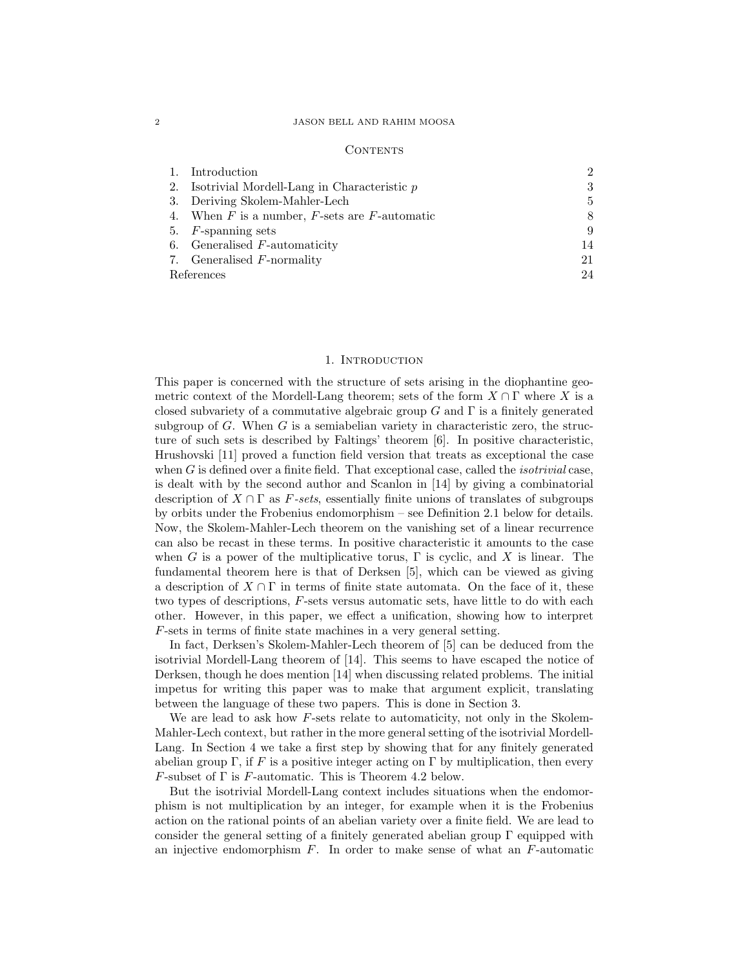#### 2 JASON BELL AND RAHIM MOOSA

#### **CONTENTS**

|            | Introduction                                          | 2  |
|------------|-------------------------------------------------------|----|
|            | 2. Isotrivial Mordell-Lang in Characteristic $p$      | 3  |
|            | 3. Deriving Skolem-Mahler-Lech                        | 5  |
|            | 4. When $F$ is a number, $F$ -sets are $F$ -automatic |    |
|            | 5. $F$ -spanning sets                                 | 9  |
|            | 6. Generalised $F$ -automaticity                      | 14 |
|            | 7. Generalised F-normality                            | 21 |
| References |                                                       | 94 |

## 1. INTRODUCTION

This paper is concerned with the structure of sets arising in the diophantine geometric context of the Mordell-Lang theorem; sets of the form  $X \cap \Gamma$  where X is a closed subvariety of a commutative algebraic group  $G$  and  $\Gamma$  is a finitely generated subgroup of  $G$ . When  $G$  is a semiabelian variety in characteristic zero, the structure of such sets is described by Faltings' theorem [6]. In positive characteristic, Hrushovski [11] proved a function field version that treats as exceptional the case when  $G$  is defined over a finite field. That exceptional case, called the *isotrivial* case, is dealt with by the second author and Scanlon in [14] by giving a combinatorial description of  $X \cap \Gamma$  as F-sets, essentially finite unions of translates of subgroups by orbits under the Frobenius endomorphism – see Definition 2.1 below for details. Now, the Skolem-Mahler-Lech theorem on the vanishing set of a linear recurrence can also be recast in these terms. In positive characteristic it amounts to the case when G is a power of the multiplicative torus,  $\Gamma$  is cyclic, and X is linear. The fundamental theorem here is that of Derksen [5], which can be viewed as giving a description of  $X \cap \Gamma$  in terms of finite state automata. On the face of it, these two types of descriptions, F-sets versus automatic sets, have little to do with each other. However, in this paper, we effect a unification, showing how to interpret F-sets in terms of finite state machines in a very general setting.

In fact, Derksen's Skolem-Mahler-Lech theorem of [5] can be deduced from the isotrivial Mordell-Lang theorem of [14]. This seems to have escaped the notice of Derksen, though he does mention [14] when discussing related problems. The initial impetus for writing this paper was to make that argument explicit, translating between the language of these two papers. This is done in Section 3.

We are lead to ask how  $F$ -sets relate to automaticity, not only in the Skolem-Mahler-Lech context, but rather in the more general setting of the isotrivial Mordell-Lang. In Section 4 we take a first step by showing that for any finitely generated abelian group  $\Gamma$ , if F is a positive integer acting on  $\Gamma$  by multiplication, then every F-subset of  $\Gamma$  is F-automatic. This is Theorem 4.2 below.

But the isotrivial Mordell-Lang context includes situations when the endomorphism is not multiplication by an integer, for example when it is the Frobenius action on the rational points of an abelian variety over a finite field. We are lead to consider the general setting of a finitely generated abelian group  $\Gamma$  equipped with an injective endomorphism  $F$ . In order to make sense of what an  $F$ -automatic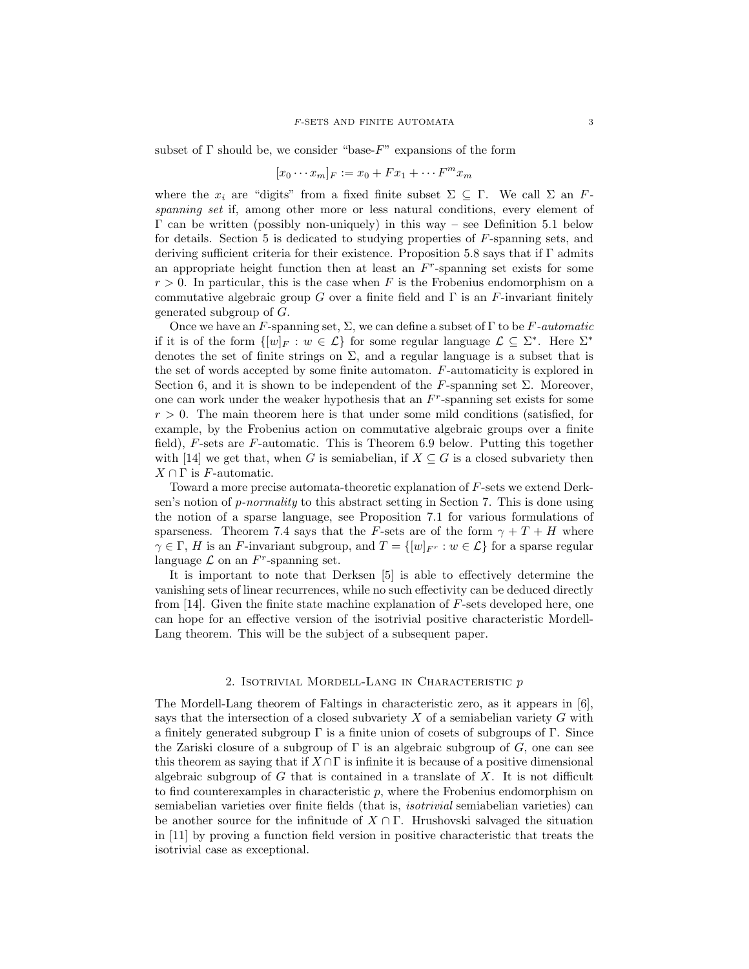subset of  $\Gamma$  should be, we consider "base- $F$ " expansions of the form

$$
[x_0 \cdots x_m]_F := x_0 + Fx_1 + \cdots F^m x_m
$$

where the  $x_i$  are "digits" from a fixed finite subset  $\Sigma \subseteq \Gamma$ . We call  $\Sigma$  an Fspanning set if, among other more or less natural conditions, every element of  $\Gamma$  can be written (possibly non-uniquely) in this way – see Definition 5.1 below for details. Section 5 is dedicated to studying properties of F-spanning sets, and deriving sufficient criteria for their existence. Proposition 5.8 says that if Γ admits an appropriate height function then at least an  $F<sup>r</sup>$ -spanning set exists for some  $r > 0$ . In particular, this is the case when F is the Frobenius endomorphism on a commutative algebraic group G over a finite field and  $\Gamma$  is an F-invariant finitely generated subgroup of G.

Once we have an F-spanning set,  $\Sigma$ , we can define a subset of  $\Gamma$  to be F-automatic if it is of the form  $\{[w]_F : w \in \mathcal{L}\}\)$  for some regular language  $\mathcal{L} \subseteq \Sigma^*$ . Here  $\Sigma^*$ denotes the set of finite strings on  $\Sigma$ , and a regular language is a subset that is the set of words accepted by some finite automaton. F-automaticity is explored in Section 6, and it is shown to be independent of the F-spanning set  $\Sigma$ . Moreover, one can work under the weaker hypothesis that an  $F<sup>r</sup>$ -spanning set exists for some  $r > 0$ . The main theorem here is that under some mild conditions (satisfied, for example, by the Frobenius action on commutative algebraic groups over a finite field), F-sets are F-automatic. This is Theorem 6.9 below. Putting this together with [14] we get that, when G is semiabelian, if  $X \subseteq G$  is a closed subvariety then  $X \cap \Gamma$  is F-automatic.

Toward a more precise automata-theoretic explanation of F-sets we extend Derksen's notion of  $p$ -normality to this abstract setting in Section 7. This is done using the notion of a sparse language, see Proposition 7.1 for various formulations of sparseness. Theorem 7.4 says that the F-sets are of the form  $\gamma + T + H$  where  $\gamma \in \Gamma$ , H is an F-invariant subgroup, and  $T = \{[w]_{F^r} : w \in \mathcal{L}\}\$ for a sparse regular language  $\mathcal L$  on an  $F^r$ -spanning set.

It is important to note that Derksen [5] is able to effectively determine the vanishing sets of linear recurrences, while no such effectivity can be deduced directly from [14]. Given the finite state machine explanation of  $F$ -sets developed here, one can hope for an effective version of the isotrivial positive characteristic Mordell-Lang theorem. This will be the subject of a subsequent paper.

## 2. ISOTRIVIAL MORDELL-LANG IN CHARACTERISTIC  $p$

The Mordell-Lang theorem of Faltings in characteristic zero, as it appears in [6], says that the intersection of a closed subvariety  $X$  of a semiabelian variety  $G$  with a finitely generated subgroup  $\Gamma$  is a finite union of cosets of subgroups of  $\Gamma$ . Since the Zariski closure of a subgroup of  $\Gamma$  is an algebraic subgroup of G, one can see this theorem as saying that if  $X \cap \Gamma$  is infinite it is because of a positive dimensional algebraic subgroup of  $G$  that is contained in a translate of  $X$ . It is not difficult to find counterexamples in characteristic  $p$ , where the Frobenius endomorphism on semiabelian varieties over finite fields (that is, isotrivial semiabelian varieties) can be another source for the infinitude of  $X \cap \Gamma$ . Hrushovski salvaged the situation in [11] by proving a function field version in positive characteristic that treats the isotrivial case as exceptional.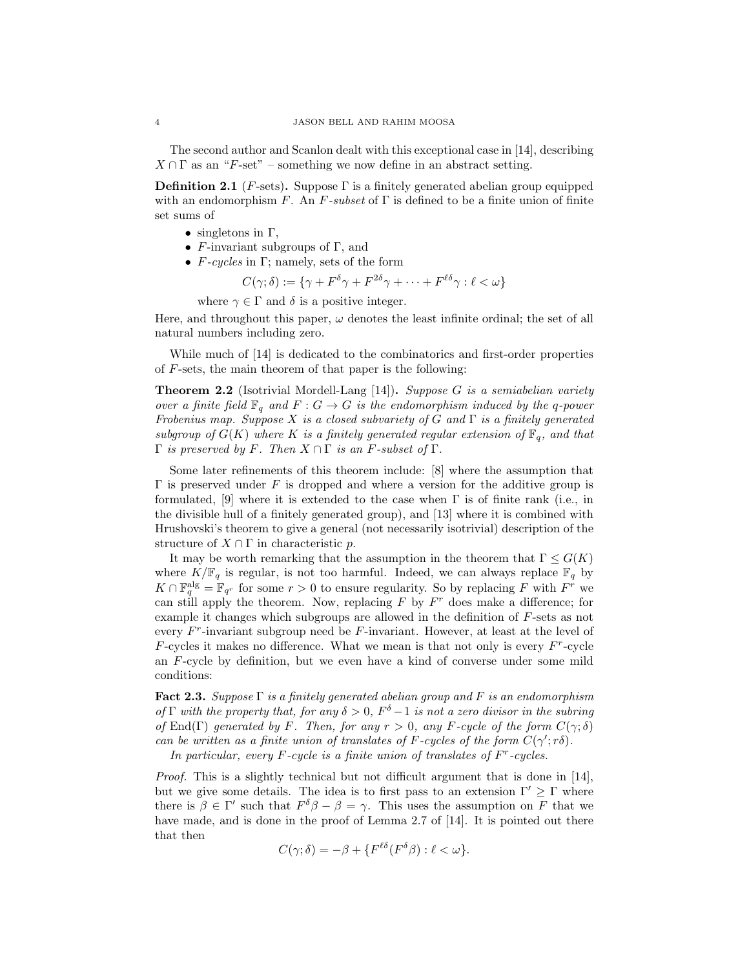The second author and Scanlon dealt with this exceptional case in [14], describing  $X \cap \Gamma$  as an "F-set" – something we now define in an abstract setting.

**Definition 2.1** (F-sets). Suppose  $\Gamma$  is a finitely generated abelian group equipped with an endomorphism F. An F-subset of  $\Gamma$  is defined to be a finite union of finite set sums of

- singletons in  $\Gamma$ ,
- F-invariant subgroups of  $\Gamma$ , and
- $F\text{-}cycles$  in  $\Gamma$ ; namely, sets of the form

$$
C(\gamma; \delta) := \{ \gamma + F^{\delta} \gamma + F^{2\delta} \gamma + \dots + F^{\ell \delta} \gamma : \ell < \omega \}
$$

where  $\gamma \in \Gamma$  and  $\delta$  is a positive integer.

Here, and throughout this paper,  $\omega$  denotes the least infinite ordinal; the set of all natural numbers including zero.

While much of [14] is dedicated to the combinatorics and first-order properties of F-sets, the main theorem of that paper is the following:

**Theorem 2.2** (Isotrivial Mordell-Lang [14]). Suppose G is a semiabelian variety over a finite field  $\mathbb{F}_q$  and  $F : G \to G$  is the endomorphism induced by the q-power Frobenius map. Suppose X is a closed subvariety of G and  $\Gamma$  is a finitely generated subgroup of  $G(K)$  where K is a finitely generated regular extension of  $\mathbb{F}_q$ , and that  $Γ$  is preserved by  $F$ . Then  $X ∩ Γ$  is an  $F$ -subset of Γ.

Some later refinements of this theorem include: [8] where the assumption that  $\Gamma$  is preserved under F is dropped and where a version for the additive group is formulated, [9] where it is extended to the case when  $\Gamma$  is of finite rank (i.e., in the divisible hull of a finitely generated group), and [13] where it is combined with Hrushovski's theorem to give a general (not necessarily isotrivial) description of the structure of  $X \cap \Gamma$  in characteristic p.

It may be worth remarking that the assumption in the theorem that  $\Gamma \leq G(K)$ where  $K/\mathbb{F}_q$  is regular, is not too harmful. Indeed, we can always replace  $\mathbb{F}_q$  by  $K \cap \mathbb{F}_q^{\text{alg}} = \mathbb{F}_{q^r}$  for some  $r > 0$  to ensure regularity. So by replacing F with  $F^r$  we can still apply the theorem. Now, replacing  $F$  by  $F^r$  does make a difference; for example it changes which subgroups are allowed in the definition of F-sets as not every  $F^r$ -invariant subgroup need be F-invariant. However, at least at the level of  $F$ -cycles it makes no difference. What we mean is that not only is every  $F^r$ -cycle an F-cycle by definition, but we even have a kind of converse under some mild conditions:

**Fact 2.3.** Suppose  $\Gamma$  is a finitely generated abelian group and F is an endomorphism of  $\Gamma$  with the property that, for any  $\delta > 0$ ,  $F^{\delta} - 1$  is not a zero divisor in the subring of End(Γ) generated by F. Then, for any  $r > 0$ , any F-cycle of the form  $C(\gamma; \delta)$ can be written as a finite union of translates of F-cycles of the form  $C(\gamma'; r\delta)$ .

In particular, every  $F$ -cycle is a finite union of translates of  $F<sup>r</sup>$ -cycles.

Proof. This is a slightly technical but not difficult argument that is done in [14], but we give some details. The idea is to first pass to an extension  $\Gamma' \geq \Gamma$  where there is  $\beta \in \Gamma'$  such that  $F^{\delta}\beta - \beta = \gamma$ . This uses the assumption on F that we have made, and is done in the proof of Lemma 2.7 of [14]. It is pointed out there that then

$$
C(\gamma; \delta) = -\beta + \{F^{\ell\delta}(F^{\delta}\beta) : \ell < \omega\}.
$$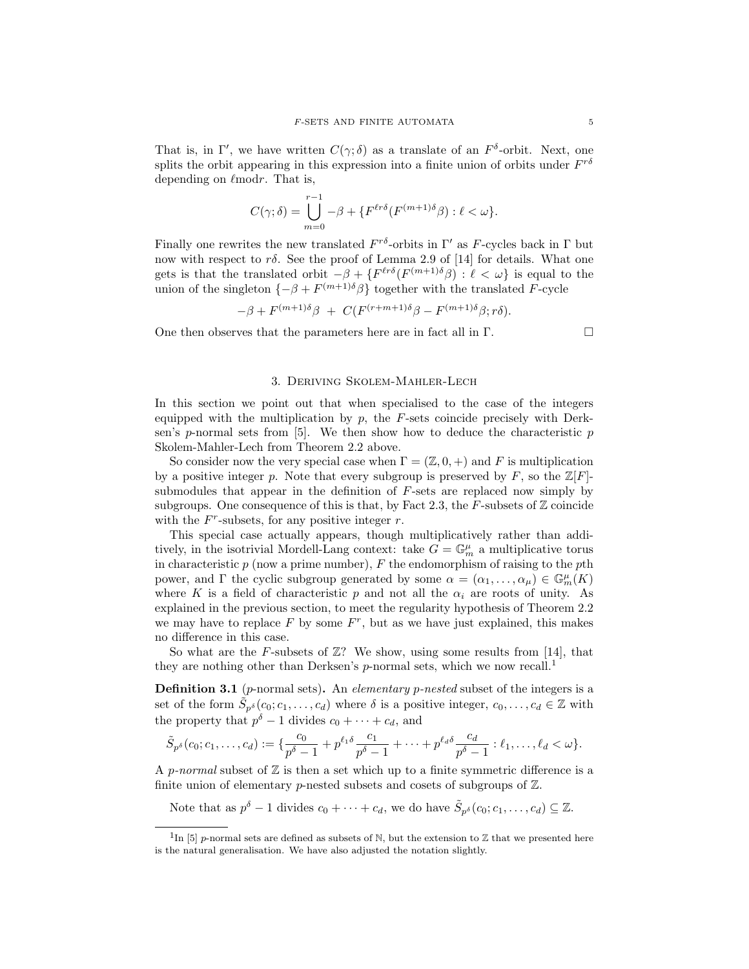That is, in  $\Gamma'$ , we have written  $C(\gamma;\delta)$  as a translate of an  $F^{\delta}$ -orbit. Next, one splits the orbit appearing in this expression into a finite union of orbits under  $F^{r\delta}$ depending on  $\ell$ modr. That is,

$$
C(\gamma;\delta) = \bigcup_{m=0}^{r-1} -\beta + \{F^{\ell r \delta}(F^{(m+1)\delta}\beta) : \ell < \omega\}.
$$

Finally one rewrites the new translated  $F^{r\delta}$ -orbits in  $\Gamma'$  as F-cycles back in  $\Gamma$  but now with respect to  $r\delta$ . See the proof of Lemma 2.9 of [14] for details. What one gets is that the translated orbit  $-\beta + \{F^{\ell r \delta}(F^{(m+1)\delta}\beta) : \ell < \omega\}$  is equal to the union of the singleton  $\{-\beta + F^{(m+1)\delta}\beta\}$  together with the translated F-cycle

 $-\beta + F^{(m+1)\delta}\beta + C(F^{(r+m+1)\delta}\beta - F^{(m+1)\delta}\beta; r\delta).$ 

One then observes that the parameters here are in fact all in  $\Gamma$ .

## 3. Deriving Skolem-Mahler-Lech

In this section we point out that when specialised to the case of the integers equipped with the multiplication by  $p$ , the  $F$ -sets coincide precisely with Derksen's p-normal sets from  $[5]$ . We then show how to deduce the characteristic p Skolem-Mahler-Lech from Theorem 2.2 above.

So consider now the very special case when  $\Gamma = (\mathbb{Z}, 0, +)$  and F is multiplication by a positive integer p. Note that every subgroup is preserved by F, so the  $\mathbb{Z}[F]$ submodules that appear in the definition of  $F$ -sets are replaced now simply by subgroups. One consequence of this is that, by Fact 2.3, the F-subsets of  $\mathbb Z$  coincide with the  $F^r$ -subsets, for any positive integer  $r$ .

This special case actually appears, though multiplicatively rather than additively, in the isotrivial Mordell-Lang context: take  $G = \mathbb{G}_m^{\mu}$  a multiplicative torus in characteristic  $p$  (now a prime number),  $F$  the endomorphism of raising to the pth power, and  $\Gamma$  the cyclic subgroup generated by some  $\alpha = (\alpha_1, \ldots, \alpha_\mu) \in \mathbb{G}_m^{\mu}(K)$ where K is a field of characteristic p and not all the  $\alpha_i$  are roots of unity. As explained in the previous section, to meet the regularity hypothesis of Theorem 2.2 we may have to replace  $F$  by some  $F<sup>r</sup>$ , but as we have just explained, this makes no difference in this case.

So what are the F-subsets of  $\mathbb{Z}$ ? We show, using some results from [14], that they are nothing other than Derksen's p-normal sets, which we now recall.<sup>1</sup>

**Definition 3.1** (*p*-normal sets). An *elementary p-nested* subset of the integers is a set of the form  $\tilde{S}_{p^{\delta}}(c_0;c_1,\ldots,c_d)$  where  $\delta$  is a positive integer,  $c_0,\ldots,c_d \in \mathbb{Z}$  with the property that  $p^{\delta} - 1$  divides  $c_0 + \cdots + c_d$ , and

$$
\tilde{S}_{p^{\delta}}(c_0;c_1,\ldots,c_d) := \{\frac{c_0}{p^{\delta}-1} + p^{\ell_1\delta}\frac{c_1}{p^{\delta}-1} + \cdots + p^{\ell_d\delta}\frac{c_d}{p^{\delta}-1} : \ell_1,\ldots,\ell_d < \omega\}.
$$

A p-normal subset of  $\mathbb Z$  is then a set which up to a finite symmetric difference is a finite union of elementary p-nested subsets and cosets of subgroups of  $\mathbb{Z}$ .

Note that as  $p^{\delta} - 1$  divides  $c_0 + \cdots + c_d$ , we do have  $\tilde{S}_{p^{\delta}}(c_0; c_1, \ldots, c_d) \subseteq \mathbb{Z}$ .

<sup>&</sup>lt;sup>1</sup>In [5] p-normal sets are defined as subsets of N, but the extension to  $\mathbb Z$  that we presented here is the natural generalisation. We have also adjusted the notation slightly.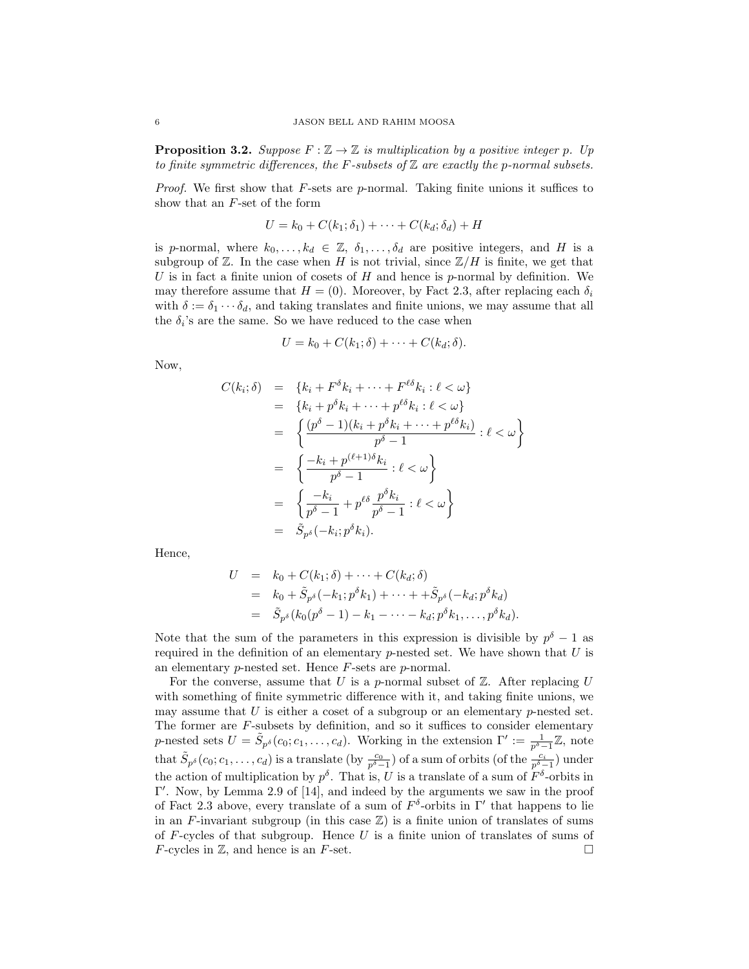**Proposition 3.2.** Suppose  $F : \mathbb{Z} \to \mathbb{Z}$  is multiplication by a positive integer p. Up to finite symmetric differences, the F-subsets of  $\mathbb Z$  are exactly the p-normal subsets.

*Proof.* We first show that  $F$ -sets are  $p$ -normal. Taking finite unions it suffices to show that an F-set of the form

$$
U = k_0 + C(k_1; \delta_1) + \cdots + C(k_d; \delta_d) + H
$$

is p-normal, where  $k_0, \ldots, k_d \in \mathbb{Z}$ ,  $\delta_1, \ldots, \delta_d$  are positive integers, and H is a subgroup of  $\mathbb Z$ . In the case when H is not trivial, since  $\mathbb Z/H$  is finite, we get that U is in fact a finite union of cosets of  $H$  and hence is p-normal by definition. We may therefore assume that  $H = (0)$ . Moreover, by Fact 2.3, after replacing each  $\delta_i$ with  $\delta := \delta_1 \cdots \delta_d$ , and taking translates and finite unions, we may assume that all the  $\delta_i$ 's are the same. So we have reduced to the case when

$$
U = k_0 + C(k_1; \delta) + \cdots + C(k_d; \delta).
$$

Now,

$$
C(k_i; \delta) = \{k_i + F^{\delta}k_i + \dots + F^{\ell \delta}k_i : \ell < \omega\}
$$
  
\n
$$
= \{k_i + p^{\delta}k_i + \dots + p^{\ell \delta}k_i : \ell < \omega\}
$$
  
\n
$$
= \left\{\frac{(p^{\delta} - 1)(k_i + p^{\delta}k_i + \dots + p^{\ell \delta}k_i)}{p^{\delta} - 1} : \ell < \omega\right\}
$$
  
\n
$$
= \left\{\frac{-k_i + p^{(\ell+1)\delta}k_i}{p^{\delta} - 1} : \ell < \omega\right\}
$$
  
\n
$$
= \left\{\frac{-k_i}{p^{\delta} - 1} + p^{\ell \delta} \frac{p^{\delta}k_i}{p^{\delta} - 1} : \ell < \omega\right\}
$$
  
\n
$$
= \tilde{S}_{p^{\delta}}(-k_i; p^{\delta}k_i).
$$

Hence,

$$
U = k_0 + C(k_1; \delta) + \dots + C(k_d; \delta)
$$
  
=  $k_0 + \tilde{S}_{p^{\delta}}(-k_1; p^{\delta}k_1) + \dots + \tilde{S}_{p^{\delta}}(-k_d; p^{\delta}k_d)$   
=  $\tilde{S}_{p^{\delta}}(k_0(p^{\delta} - 1) - k_1 - \dots - k_d; p^{\delta}k_1, \dots, p^{\delta}k_d).$ 

Note that the sum of the parameters in this expression is divisible by  $p^{\delta} - 1$  as required in the definition of an elementary  $p$ -nested set. We have shown that  $U$  is an elementary p-nested set. Hence F-sets are p-normal.

For the converse, assume that U is a p-normal subset of  $\mathbb{Z}$ . After replacing U with something of finite symmetric difference with it, and taking finite unions, we may assume that  $U$  is either a coset of a subgroup or an elementary  $p$ -nested set. The former are  $F$ -subsets by definition, and so it suffices to consider elementary p-nested sets  $U = \tilde{S}_{p^{\delta}}(c_0; c_1, \ldots, c_d)$ . Working in the extension  $\Gamma' := \frac{1}{p^{\delta}-1}\mathbb{Z}$ , note that  $\tilde{S}_{p^{\delta}}(c_0;c_1,\ldots,c_d)$  is a translate (by  $\frac{c_0}{p^{\delta}-1}$ ) of a sum of orbits (of the  $\frac{c_i}{p^{\delta}-1}$ ) under the action of multiplication by  $p^{\delta}$ . That is, U is a translate of a sum of  $F^{\delta}$ -orbits in Γ'. Now, by Lemma 2.9 of [14], and indeed by the arguments we saw in the proof of Fact 2.3 above, every translate of a sum of  $F^{\delta}$ -orbits in  $\Gamma'$  that happens to lie in an  $F$ -invariant subgroup (in this case  $\mathbb{Z}$ ) is a finite union of translates of sums of  $F$ -cycles of that subgroup. Hence  $U$  is a finite union of translates of sums of  $F$ -cycles in  $\mathbb{Z}$ , and hence is an  $F$ -set.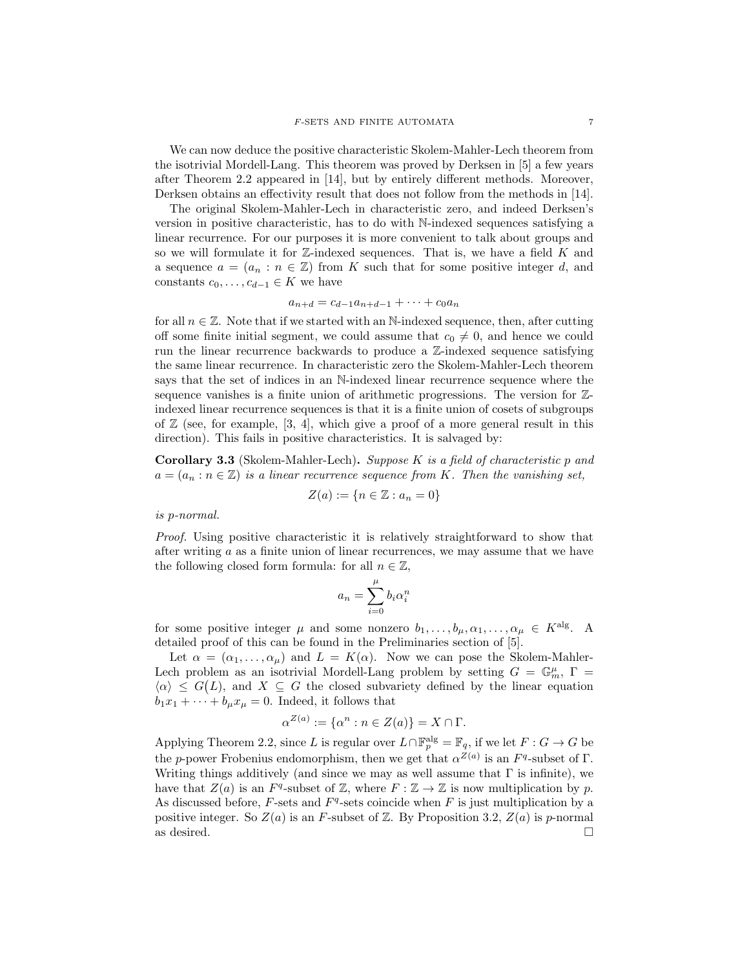We can now deduce the positive characteristic Skolem-Mahler-Lech theorem from the isotrivial Mordell-Lang. This theorem was proved by Derksen in [5] a few years after Theorem 2.2 appeared in [14], but by entirely different methods. Moreover, Derksen obtains an effectivity result that does not follow from the methods in [14].

The original Skolem-Mahler-Lech in characteristic zero, and indeed Derksen's version in positive characteristic, has to do with N-indexed sequences satisfying a linear recurrence. For our purposes it is more convenient to talk about groups and so we will formulate it for  $\mathbb Z$ -indexed sequences. That is, we have a field K and a sequence  $a = (a_n : n \in \mathbb{Z})$  from K such that for some positive integer d, and constants  $c_0, \ldots, c_{d-1} \in K$  we have

$$
a_{n+d} = c_{d-1}a_{n+d-1} + \dots + c_0a_n
$$

for all  $n \in \mathbb{Z}$ . Note that if we started with an N-indexed sequence, then, after cutting off some finite initial segment, we could assume that  $c_0 \neq 0$ , and hence we could run the linear recurrence backwards to produce a Z-indexed sequence satisfying the same linear recurrence. In characteristic zero the Skolem-Mahler-Lech theorem says that the set of indices in an N-indexed linear recurrence sequence where the sequence vanishes is a finite union of arithmetic progressions. The version for Zindexed linear recurrence sequences is that it is a finite union of cosets of subgroups of  $\mathbb Z$  (see, for example, [3, 4], which give a proof of a more general result in this direction). This fails in positive characteristics. It is salvaged by:

Corollary 3.3 (Skolem-Mahler-Lech). Suppose K is a field of characteristic p and  $a = (a_n : n \in \mathbb{Z})$  is a linear recurrence sequence from K. Then the vanishing set,

$$
Z(a) := \{ n \in \mathbb{Z} : a_n = 0 \}
$$

is p-normal.

Proof. Using positive characteristic it is relatively straightforward to show that after writing a as a finite union of linear recurrences, we may assume that we have the following closed form formula: for all  $n \in \mathbb{Z}$ ,

$$
a_n = \sum_{i=0}^{\mu} b_i \alpha_i^n
$$

for some positive integer  $\mu$  and some nonzero  $b_1, \ldots, b_{\mu}, \alpha_1, \ldots, \alpha_{\mu} \in K^{\text{alg}}$ . A detailed proof of this can be found in the Preliminaries section of [5].

Let  $\alpha = (\alpha_1, \ldots, \alpha_\mu)$  and  $L = K(\alpha)$ . Now we can pose the Skolem-Mahler-Lech problem as an isotrivial Mordell-Lang problem by setting  $G = \mathbb{G}_m^{\mu}, \Gamma =$  $\langle \alpha \rangle \leq G(L)$ , and  $X \subseteq G$  the closed subvariety defined by the linear equation  $b_1x_1 + \cdots + b_\mu x_\mu = 0$ . Indeed, it follows that

$$
\alpha^{Z(a)} := \{ \alpha^n : n \in Z(a) \} = X \cap \Gamma.
$$

Applying Theorem 2.2, since L is regular over  $L \cap \mathbb{F}_p^{\text{alg}} = \mathbb{F}_q$ , if we let  $F : G \to G$  be the p-power Frobenius endomorphism, then we get that  $\alpha^{Z(a)}$  is an  $F^q$ -subset of  $\Gamma$ . Writing things additively (and since we may as well assume that  $\Gamma$  is infinite), we have that  $Z(a)$  is an  $F^q$ -subset of Z, where  $F : \mathbb{Z} \to \mathbb{Z}$  is now multiplication by p. As discussed before,  $F$ -sets and  $F<sup>q</sup>$ -sets coincide when  $F$  is just multiplication by a positive integer. So  $Z(a)$  is an F-subset of Z. By Proposition 3.2,  $Z(a)$  is p-normal as desired.  $\Box$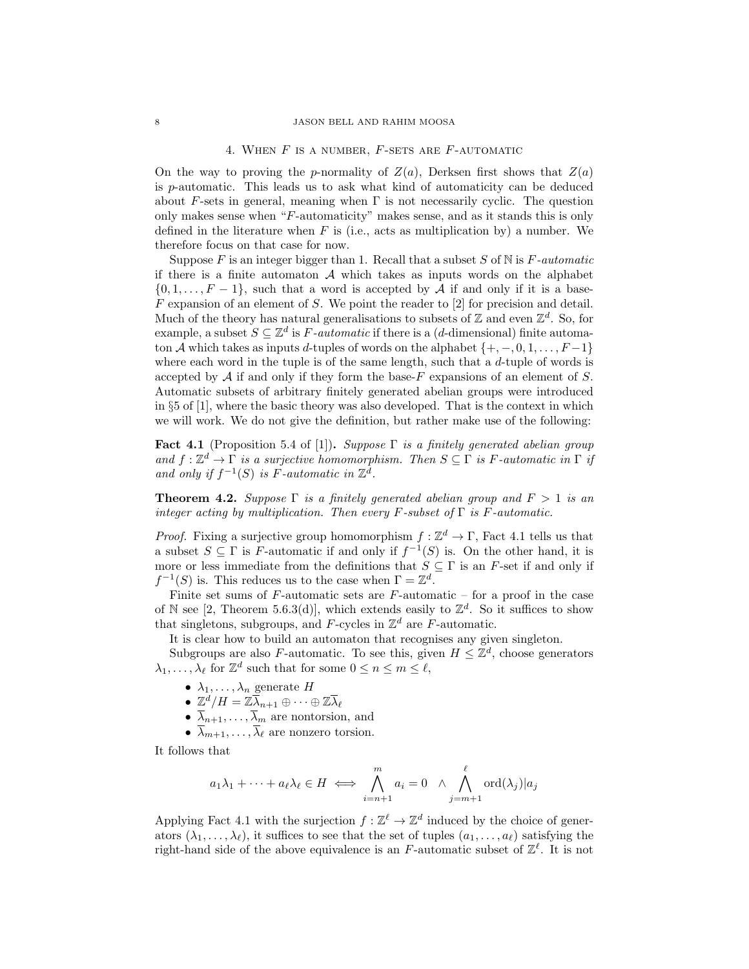## 4. WHEN  $F$  is a number,  $F$ -sets are  $F$ -automatic

On the way to proving the p-normality of  $Z(a)$ , Derksen first shows that  $Z(a)$ is p-automatic. This leads us to ask what kind of automaticity can be deduced about F-sets in general, meaning when  $\Gamma$  is not necessarily cyclic. The question only makes sense when "F-automaticity" makes sense, and as it stands this is only defined in the literature when  $F$  is (i.e., acts as multiplication by) a number. We therefore focus on that case for now.

Suppose F is an integer bigger than 1. Recall that a subset S of N is  $F\text{-}automatic$ if there is a finite automaton  $A$  which takes as inputs words on the alphabet  $\{0, 1, \ldots, F-1\}$ , such that a word is accepted by A if and only if it is a base- $F$  expansion of an element of S. We point the reader to [2] for precision and detail. Much of the theory has natural generalisations to subsets of  $\mathbb Z$  and even  $\mathbb Z^d$ . So, for example, a subset  $S \subseteq \mathbb{Z}^d$  is F-automatic if there is a (d-dimensional) finite automaton A which takes as inputs d-tuples of words on the alphabet  $\{+,-,0,1,\ldots,F-1\}$ where each word in the tuple is of the same length, such that a d-tuple of words is accepted by  $A$  if and only if they form the base- $F$  expansions of an element of  $S$ . Automatic subsets of arbitrary finitely generated abelian groups were introduced in §5 of [1], where the basic theory was also developed. That is the context in which we will work. We do not give the definition, but rather make use of the following:

Fact 4.1 (Proposition 5.4 of [1]). Suppose  $\Gamma$  is a finitely generated abelian group and  $f: \mathbb{Z}^d \to \Gamma$  is a surjective homomorphism. Then  $S \subseteq \Gamma$  is F-automatic in  $\Gamma$  if and only if  $f^{-1}(S)$  is F-automatic in  $\mathbb{Z}^d$ .

**Theorem 4.2.** Suppose  $\Gamma$  is a finitely generated abelian group and  $F > 1$  is an integer acting by multiplication. Then every F-subset of  $\Gamma$  is F-automatic.

*Proof.* Fixing a surjective group homomorphism  $f : \mathbb{Z}^d \to \Gamma$ , Fact 4.1 tells us that a subset  $S \subseteq \Gamma$  is F-automatic if and only if  $f^{-1}(S)$  is. On the other hand, it is more or less immediate from the definitions that  $S \subseteq \Gamma$  is an F-set if and only if  $f^{-1}(S)$  is. This reduces us to the case when  $\Gamma = \mathbb{Z}^d$ .

Finite set sums of  $F$ -automatic sets are  $F$ -automatic – for a proof in the case of N see [2, Theorem 5.6.3(d)], which extends easily to  $\mathbb{Z}^d$ . So it suffices to show that singletons, subgroups, and F-cycles in  $\mathbb{Z}^d$  are F-automatic.

It is clear how to build an automaton that recognises any given singleton.

Subgroups are also F-automatic. To see this, given  $H \leq \mathbb{Z}^d$ , choose generators  $\lambda_1, \ldots, \lambda_\ell$  for  $\mathbb{Z}^d$  such that for some  $0 \le n \le m \le \ell$ ,

- $\lambda_1, \ldots, \lambda_n$  generate H
- $\bullet \ \ \mathbb{Z}^d / H = \mathbb{Z} \bar{\lambda}_{n+1} \oplus \cdots \oplus \mathbb{Z} \bar{\lambda}_{\ell}$
- $\lambda_{n+1}, \ldots, \lambda_m$  are nontorsion, and
- $\overline{\lambda}_{m+1}, \ldots, \overline{\lambda}_{\ell}$  are nonzero torsion.

It follows that

$$
a_1\lambda_1 + \cdots + a_\ell \lambda_\ell \in H \iff \bigwedge_{i=n+1}^m a_i = 0 \land \bigwedge_{j=m+1}^\ell \text{ord}(\lambda_j) | a_j
$$

Applying Fact 4.1 with the surjection  $f : \mathbb{Z}^{\ell} \to \mathbb{Z}^d$  induced by the choice of generators  $(\lambda_1, \ldots, \lambda_\ell)$ , it suffices to see that the set of tuples  $(a_1, \ldots, a_\ell)$  satisfying the right-hand side of the above equivalence is an F-automatic subset of  $\mathbb{Z}^{\ell}$ . It is not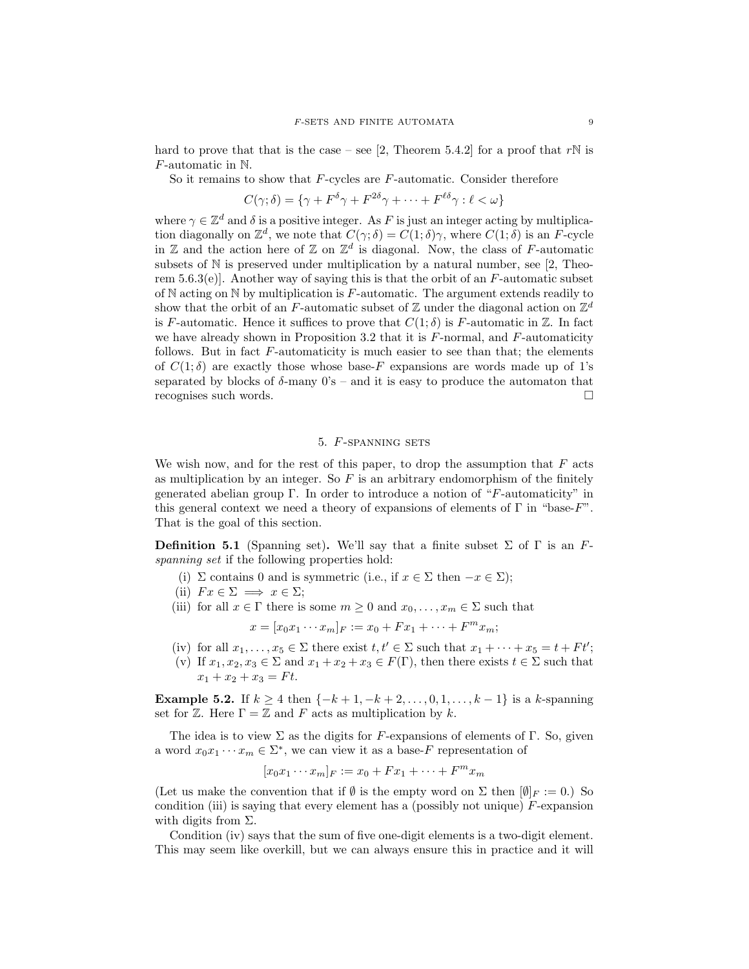hard to prove that that is the case – see [2, Theorem 5.4.2] for a proof that rN is F-automatic in N.

So it remains to show that  $F$ -cycles are  $F$ -automatic. Consider therefore

$$
C(\gamma; \delta) = \{ \gamma + F^{\delta} \gamma + F^{2\delta} \gamma + \dots + F^{\ell \delta} \gamma : \ell < \omega \}
$$

where  $\gamma \in \mathbb{Z}^d$  and  $\delta$  is a positive integer. As F is just an integer acting by multiplication diagonally on  $\mathbb{Z}^d$ , we note that  $C(\gamma;\delta) = C(1;\delta)\gamma$ , where  $C(1;\delta)$  is an F-cycle in  $\mathbb Z$  and the action here of  $\mathbb Z$  on  $\mathbb Z^d$  is diagonal. Now, the class of F-automatic subsets of  $\mathbb N$  is preserved under multiplication by a natural number, see [2, Theorem  $5.6.3(e)$ . Another way of saying this is that the orbit of an F-automatic subset of N acting on N by multiplication is F-automatic. The argument extends readily to show that the orbit of an F-automatic subset of  $\mathbb Z$  under the diagonal action on  $\mathbb Z^d$ is F-automatic. Hence it suffices to prove that  $C(1;\delta)$  is F-automatic in Z. In fact we have already shown in Proposition 3.2 that it is  $F$ -normal, and  $F$ -automaticity follows. But in fact F-automaticity is much easier to see than that; the elements of  $C(1;\delta)$  are exactly those whose base-F expansions are words made up of 1's separated by blocks of  $\delta$ -many  $0$ 's – and it is easy to produce the automaton that recognises such words.

## 5. F-spanning sets

We wish now, and for the rest of this paper, to drop the assumption that  $F$  acts as multiplication by an integer. So  $F$  is an arbitrary endomorphism of the finitely generated abelian group Γ. In order to introduce a notion of "F-automaticity" in this general context we need a theory of expansions of elements of  $\Gamma$  in "base-F". That is the goal of this section.

**Definition 5.1** (Spanning set). We'll say that a finite subset  $\Sigma$  of  $\Gamma$  is an Fspanning set if the following properties hold:

- (i)  $\Sigma$  contains 0 and is symmetric (i.e., if  $x \in \Sigma$  then  $-x \in \Sigma$ );
- (ii)  $Fx \in \Sigma \implies x \in \Sigma;$
- (iii) for all  $x \in \Gamma$  there is some  $m \geq 0$  and  $x_0, \ldots, x_m \in \Sigma$  such that

 $x = [x_0 x_1 \cdots x_m]_F := x_0 + F x_1 + \cdots + F^m x_m;$ 

- (iv) for all  $x_1, \ldots, x_5 \in \Sigma$  there exist  $t, t' \in \Sigma$  such that  $x_1 + \cdots + x_5 = t + Ft'$ ;
- (v) If  $x_1, x_2, x_3 \in \Sigma$  and  $x_1 + x_2 + x_3 \in F(\Gamma)$ , then there exists  $t \in \Sigma$  such that  $x_1 + x_2 + x_3 = Ft.$

**Example 5.2.** If  $k \ge 4$  then  $\{-k+1, -k+2, \ldots, 0, 1, \ldots, k-1\}$  is a k-spanning set for Z. Here  $\Gamma = \mathbb{Z}$  and F acts as multiplication by k.

The idea is to view  $\Sigma$  as the digits for F-expansions of elements of  $\Gamma$ . So, given a word  $x_0x_1 \cdots x_m \in \Sigma^*$ , we can view it as a base-F representation of

$$
[x_0x_1\cdots x_m]_F := x_0 + Fx_1 + \cdots + F^m x_m
$$

(Let us make the convention that if  $\emptyset$  is the empty word on  $\Sigma$  then  $[\emptyset]_F := 0$ .) So condition (iii) is saying that every element has a (possibly not unique) F-expansion with digits from  $\Sigma$ .

Condition (iv) says that the sum of five one-digit elements is a two-digit element. This may seem like overkill, but we can always ensure this in practice and it will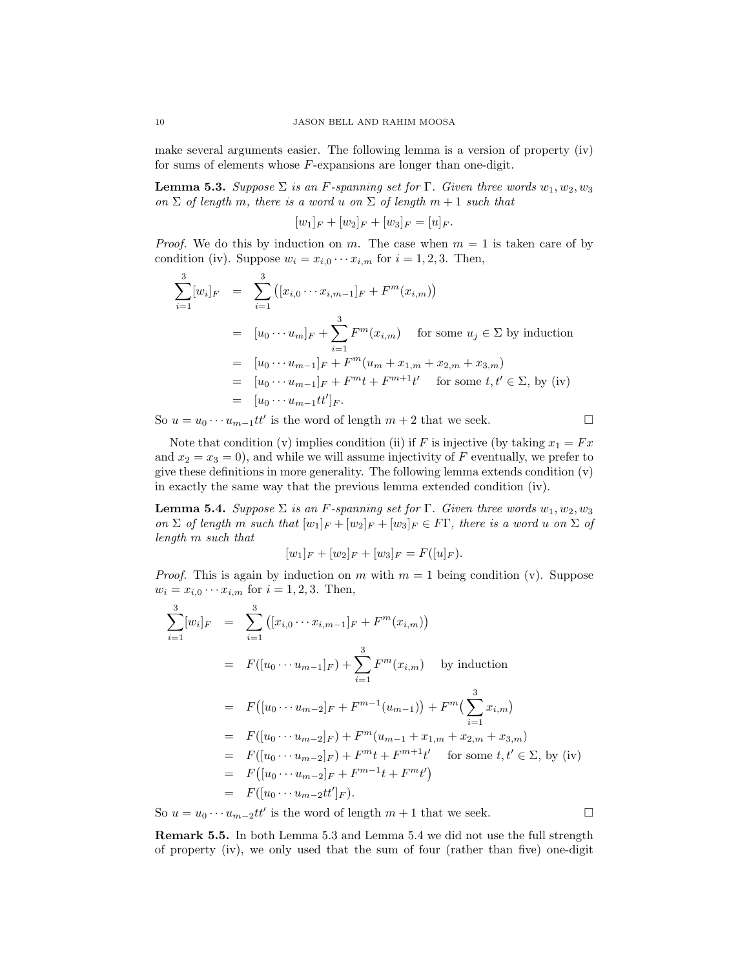make several arguments easier. The following lemma is a version of property (iv) for sums of elements whose F-expansions are longer than one-digit.

**Lemma 5.3.** Suppose  $\Sigma$  is an F-spanning set for  $\Gamma$ . Given three words  $w_1, w_2, w_3$ on  $\Sigma$  of length m, there is a word u on  $\Sigma$  of length  $m + 1$  such that

$$
[w_1]_F + [w_2]_F + [w_3]_F = [u]_F.
$$

*Proof.* We do this by induction on m. The case when  $m = 1$  is taken care of by condition (iv). Suppose  $w_i = x_{i,0} \cdots x_{i,m}$  for  $i = 1, 2, 3$ . Then,

$$
\sum_{i=1}^{3} [w_i]_F = \sum_{i=1}^{3} ([x_{i,0} \cdots x_{i,m-1}]_F + F^m(x_{i,m}))
$$
  
\n
$$
= [u_0 \cdots u_m]_F + \sum_{i=1}^{3} F^m(x_{i,m}) \text{ for some } u_j \in \Sigma \text{ by induction}
$$
  
\n
$$
= [u_0 \cdots u_{m-1}]_F + F^m(u_m + x_{1,m} + x_{2,m} + x_{3,m})
$$
  
\n
$$
= [u_0 \cdots u_{m-1}]_F + F^m t + F^{m+1} t' \text{ for some } t, t' \in \Sigma, \text{ by (iv)}
$$
  
\n
$$
= [u_0 \cdots u_{m-1} t t']_F.
$$

So  $u = u_0 \cdots u_{m-1} t t'$  is the word of length  $m + 2$  that we seek.

$$
\qquad \qquad \Box
$$

Note that condition (v) implies condition (ii) if F is injective (by taking  $x_1 = Fx$ and  $x_2 = x_3 = 0$ , and while we will assume injectivity of F eventually, we prefer to give these definitions in more generality. The following lemma extends condition (v) in exactly the same way that the previous lemma extended condition (iv).

**Lemma 5.4.** Suppose  $\Sigma$  is an F-spanning set for  $\Gamma$ . Given three words  $w_1, w_2, w_3$ on  $\Sigma$  of length m such that  $[w_1]_F + [w_2]_F + [w_3]_F \in F\Gamma$ , there is a word u on  $\Sigma$  of length m such that

$$
[w_1]_F + [w_2]_F + [w_3]_F = F([u]_F).
$$

*Proof.* This is again by induction on m with  $m = 1$  being condition (v). Suppose  $w_i = x_{i,0} \cdots x_{i,m}$  for  $i = 1, 2, 3$ . Then,

$$
\sum_{i=1}^{3} [w_i]_F = \sum_{i=1}^{3} ([x_{i,0} \cdots x_{i,m-1}]_F + F^m(x_{i,m}))
$$
  
\n
$$
= F([u_0 \cdots u_{m-1}]_F) + \sum_{i=1}^{3} F^m(x_{i,m}) \text{ by induction}
$$
  
\n
$$
= F([u_0 \cdots u_{m-2}]_F + F^{m-1}(u_{m-1})) + F^m(\sum_{i=1}^{3} x_{i,m})
$$
  
\n
$$
= F([u_0 \cdots u_{m-2}]_F) + F^m(u_{m-1} + x_{1,m} + x_{2,m} + x_{3,m})
$$
  
\n
$$
= F([u_0 \cdots u_{m-2}]_F) + F^m t + F^{m+1} t' \text{ for some } t, t' \in \Sigma, \text{ by (iv)}
$$
  
\n
$$
= F([u_0 \cdots u_{m-2}]_F + F^{m-1} t + F^m t')
$$
  
\n
$$
= F([u_0 \cdots u_{m-2}tt']_F).
$$

So  $u = u_0 \cdots u_{m-2} t t'$  is the word of length  $m + 1$  that we seek.

Remark 5.5. In both Lemma 5.3 and Lemma 5.4 we did not use the full strength of property (iv), we only used that the sum of four (rather than five) one-digit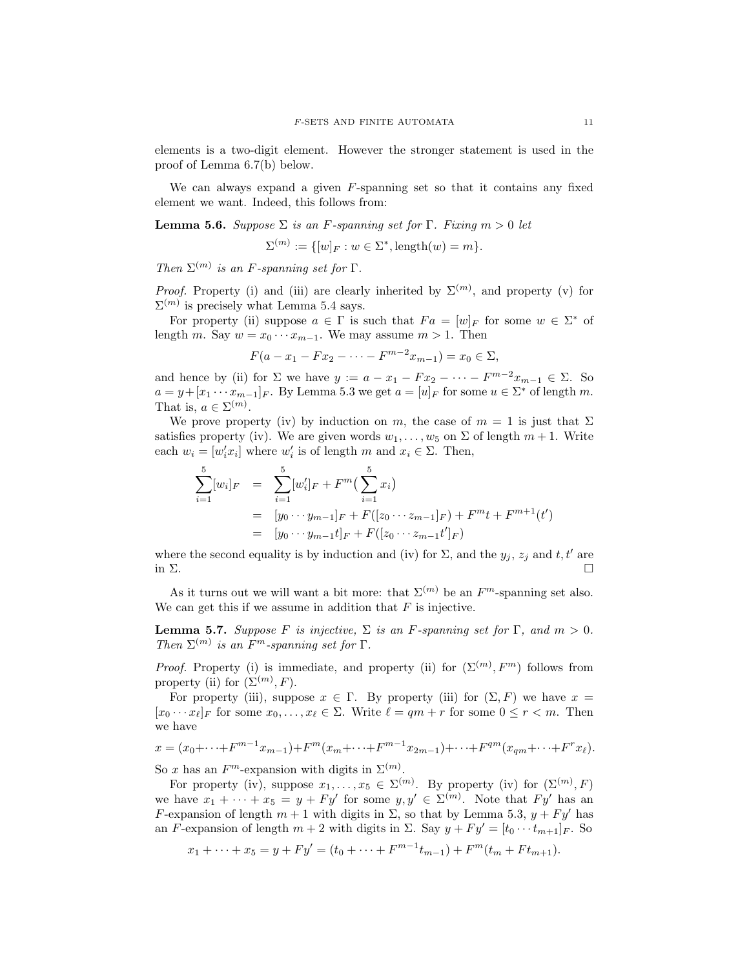elements is a two-digit element. However the stronger statement is used in the proof of Lemma 6.7(b) below.

We can always expand a given  $F$ -spanning set so that it contains any fixed element we want. Indeed, this follows from:

**Lemma 5.6.** Suppose  $\Sigma$  is an F-spanning set for  $\Gamma$ . Fixing  $m > 0$  let

 $\Sigma^{(m)} := \{ [w]_F : w \in \Sigma^*, \text{length}(w) = m \}.$ 

Then  $\Sigma^{(m)}$  is an F-spanning set for  $\Gamma$ .

*Proof.* Property (i) and (iii) are clearly inherited by  $\Sigma^{(m)}$ , and property (v) for  $\Sigma^{(m)}$  is precisely what Lemma 5.4 says.

For property (ii) suppose  $a \in \Gamma$  is such that  $Fa = [w]_F$  for some  $w \in \Sigma^*$  of length m. Say  $w = x_0 \cdots x_{m-1}$ . We may assume  $m > 1$ . Then

$$
F(a - x_1 - Fx_2 - \dots - F^{m-2}x_{m-1}) = x_0 \in \Sigma,
$$

and hence by (ii) for  $\Sigma$  we have  $y := a - x_1 - Fx_2 - \cdots - F^{m-2}x_{m-1} \in \Sigma$ . So  $a = y + [x_1 \cdots x_{m-1}]_F$ . By Lemma 5.3 we get  $a = [u]_F$  for some  $u \in \Sigma^*$  of length m. That is,  $a \in \Sigma^{(m)}$ .

We prove property (iv) by induction on m, the case of  $m = 1$  is just that  $\Sigma$ satisfies property (iv). We are given words  $w_1, \ldots, w_5$  on  $\Sigma$  of length  $m + 1$ . Write each  $w_i = [w'_i x_i]$  where  $w'_i$  is of length m and  $x_i \in \Sigma$ . Then,

$$
\sum_{i=1}^{5} [w_i]_F = \sum_{i=1}^{5} [w'_i]_F + F^m(\sum_{i=1}^{5} x_i)
$$
  
=  $[y_0 \cdots y_{m-1}]_F + F([z_0 \cdots z_{m-1}]_F) + F^m t + F^{m+1}(t')$   
=  $[y_0 \cdots y_{m-1} t]_F + F([z_0 \cdots z_{m-1} t']_F)$ 

where the second equality is by induction and (iv) for  $\Sigma$ , and the  $y_j$ ,  $z_j$  and  $t, t'$  are in  $\Sigma$ .

As it turns out we will want a bit more: that  $\Sigma^{(m)}$  be an  $F^m$ -spanning set also. We can get this if we assume in addition that  $F$  is injective.

**Lemma 5.7.** Suppose F is injective,  $\Sigma$  is an F-spanning set for  $\Gamma$ , and  $m > 0$ . Then  $\Sigma^{(m)}$  is an  $F^m$ -spanning set for  $\Gamma$ .

*Proof.* Property (i) is immediate, and property (ii) for  $(\Sigma^{(m)}, F^m)$  follows from property (ii) for  $(\Sigma^{(m)}, F)$ .

For property (iii), suppose  $x \in \Gamma$ . By property (iii) for  $(\Sigma, F)$  we have  $x =$  $[x_0 \cdots x_\ell]_F$  for some  $x_0, \ldots, x_\ell \in \Sigma$ . Write  $\ell = qm + r$  for some  $0 \le r < m$ . Then we have

$$
x = (x_0 + \dots + F^{m-1}x_{m-1}) + F^m(x_m + \dots + F^{m-1}x_{2m-1}) + \dots + F^{qm}(x_{qm} + \dots + F^r x_\ell).
$$

So x has an  $F^m$ -expansion with digits in  $\Sigma^{(m)}$ .

For property (iv), suppose  $x_1, \ldots, x_5 \in \Sigma^{(m)}$ . By property (iv) for  $(\Sigma^{(m)}, F)$ we have  $x_1 + \cdots + x_5 = y + F y'$  for some  $y, y' \in \Sigma^{(m)}$ . Note that  $F y'$  has an F-expansion of length  $m + 1$  with digits in  $\Sigma$ , so that by Lemma 5.3,  $y + Fy'$  has an F-expansion of length  $m + 2$  with digits in  $\Sigma$ . Say  $y + F y' = [t_0 \cdots t_{m+1}]_F$ . So

$$
x_1 + \dots + x_5 = y + Fy' = (t_0 + \dots + F^{m-1}t_{m-1}) + F^m(t_m + Ft_{m+1}).
$$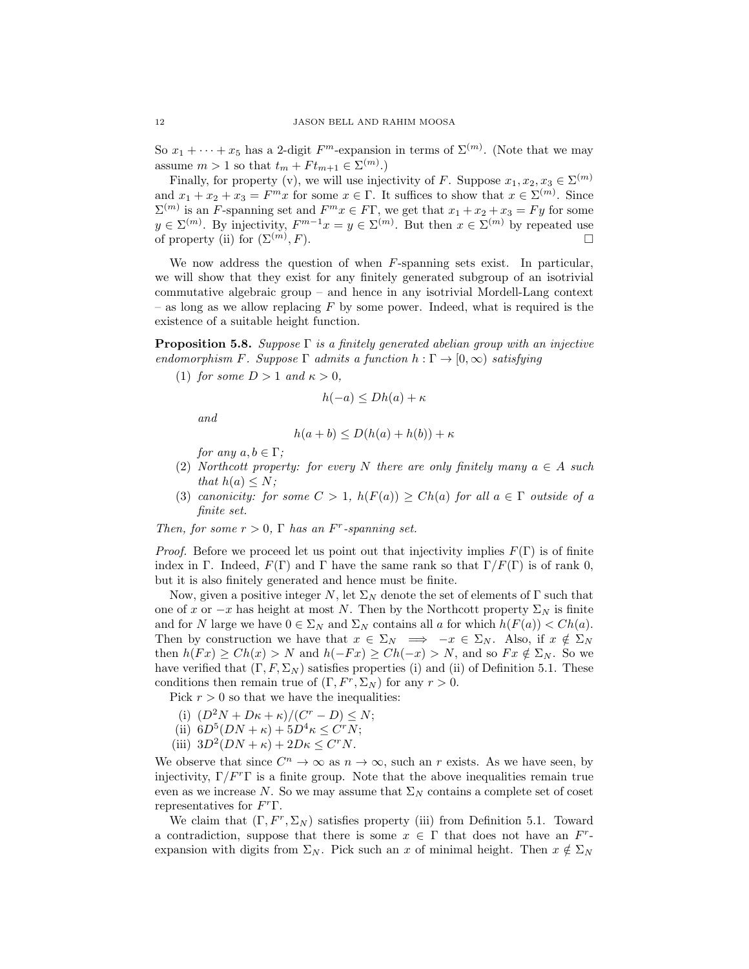So  $x_1 + \cdots + x_5$  has a 2-digit  $F^m$ -expansion in terms of  $\Sigma^{(m)}$ . (Note that we may assume  $m > 1$  so that  $t_m + F t_{m+1} \in \Sigma^{(m)}$ .)

Finally, for property (v), we will use injectivity of F. Suppose  $x_1, x_2, x_3 \in \Sigma^{(m)}$ and  $x_1 + x_2 + x_3 = F^m x$  for some  $x \in \Gamma$ . It suffices to show that  $x \in \Sigma^{(m)}$ . Since  $\Sigma^{(m)}$  is an F-spanning set and  $F^m x \in F\Gamma$ , we get that  $x_1 + x_2 + x_3 = Fy$  for some  $y \in \Sigma^{(m)}$ . By injectivity,  $F^{m-1}x = y \in \Sigma^{(m)}$ . But then  $x \in \Sigma^{(m)}$  by repeated use of property (ii) for  $(\Sigma^{(m)}, F)$ .  $,F$ ).

We now address the question of when F-spanning sets exist. In particular, we will show that they exist for any finitely generated subgroup of an isotrivial commutative algebraic group – and hence in any isotrivial Mordell-Lang context – as long as we allow replacing  $F$  by some power. Indeed, what is required is the existence of a suitable height function.

**Proposition 5.8.** Suppose  $\Gamma$  is a finitely generated abelian group with an injective endomorphism F. Suppose  $\Gamma$  admits a function  $h : \Gamma \to [0, \infty)$  satisfying

(1) for some  $D > 1$  and  $\kappa > 0$ ,

$$
h(-a) \le Dh(a) + \kappa
$$

and

$$
h(a+b) \le D(h(a) + h(b)) + \kappa
$$

for any  $a, b \in \Gamma$ ;

- (2) Northcott property: for every N there are only finitely many  $a \in A$  such that  $h(a) \leq N$ ;
- (3) canonicity: for some  $C > 1$ ,  $h(F(a)) \geq Ch(a)$  for all  $a \in \Gamma$  outside of a finite set.

Then, for some  $r > 0$ ,  $\Gamma$  has an  $F^r$ -spanning set.

*Proof.* Before we proceed let us point out that injectivity implies  $F(\Gamma)$  is of finite index in Γ. Indeed,  $F(\Gamma)$  and Γ have the same rank so that  $\Gamma/F(\Gamma)$  is of rank 0, but it is also finitely generated and hence must be finite.

Now, given a positive integer N, let  $\Sigma_N$  denote the set of elements of  $\Gamma$  such that one of x or  $-x$  has height at most N. Then by the Northcott property  $\Sigma_N$  is finite and for N large we have  $0 \in \Sigma_N$  and  $\Sigma_N$  contains all a for which  $h(F(a)) < Ch(a)$ . Then by construction we have that  $x \in \Sigma_N \implies -x \in \Sigma_N$ . Also, if  $x \notin \Sigma_N$ then  $h(Fx) \geq Ch(x) > N$  and  $h(-Fx) \geq Ch(-x) > N$ , and so  $Fx \notin \Sigma_N$ . So we have verified that  $(\Gamma, F, \Sigma_N)$  satisfies properties (i) and (ii) of Definition 5.1. These conditions then remain true of  $(\Gamma, F^r, \Sigma_N)$  for any  $r > 0$ .

Pick  $r > 0$  so that we have the inequalities:

- (i)  $(D^2N + D\kappa + \kappa)/(C^r D) \leq N;$
- (ii)  $6D^5(DN + \kappa) + 5D^4\kappa \leq C^rN;$
- (iii)  $3D^2(DN + \kappa) + 2D\kappa \leq C^rN$ .

We observe that since  $C^n \to \infty$  as  $n \to \infty$ , such an r exists. As we have seen, by injectivity,  $\Gamma/F^r\Gamma$  is a finite group. Note that the above inequalities remain true even as we increase N. So we may assume that  $\Sigma_N$  contains a complete set of coset representatives for  $F^r \Gamma$ .

We claim that  $(\Gamma, F^r, \Sigma_N)$  satisfies property (iii) from Definition 5.1. Toward a contradiction, suppose that there is some  $x \in \Gamma$  that does not have an  $F^r$ expansion with digits from  $\Sigma_N$ . Pick such an x of minimal height. Then  $x \notin \Sigma_N$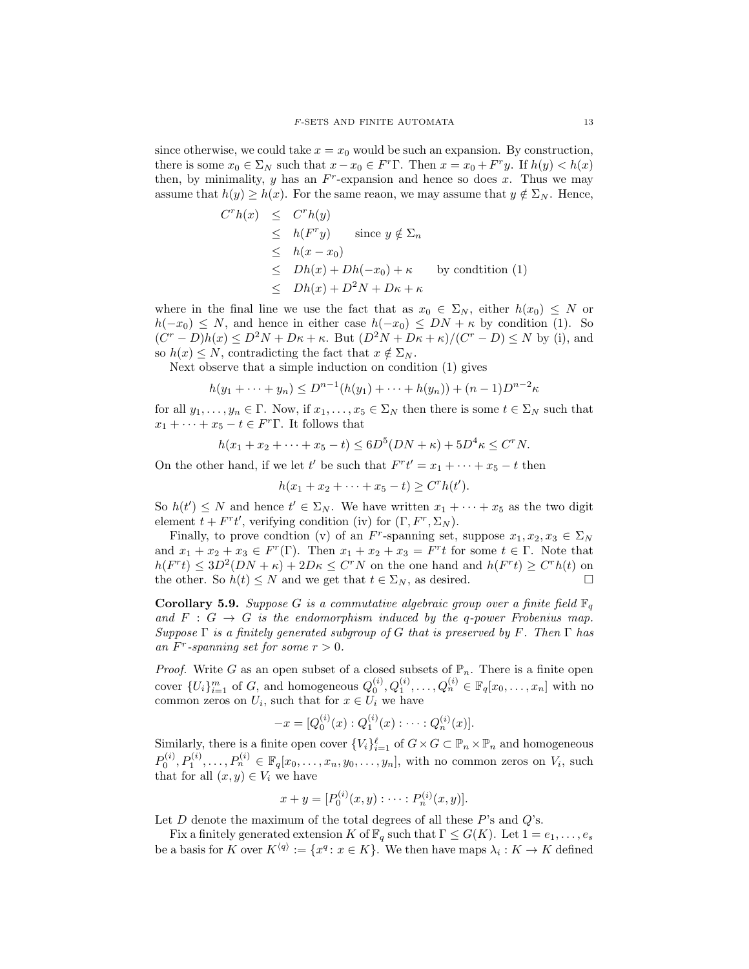since otherwise, we could take  $x = x_0$  would be such an expansion. By construction, there is some  $x_0 \in \Sigma_N$  such that  $x - x_0 \in F^r$ . Then  $x = x_0 + F^r y$ . If  $h(y) < h(x)$ then, by minimality,  $y$  has an  $F<sup>r</sup>$ -expansion and hence so does  $x$ . Thus we may assume that  $h(y) \geq h(x)$ . For the same reaon, we may assume that  $y \notin \Sigma_N$ . Hence,

$$
Crh(x) \leq Crh(y)
$$
  
\n
$$
\leq h(Fry) \text{ since } y \notin \Sigma_n
$$
  
\n
$$
\leq h(x - x_0)
$$
  
\n
$$
\leq Dh(x) + Dh(-x_0) + \kappa \text{ by condition (1)}
$$
  
\n
$$
\leq Dh(x) + D2N + D\kappa + \kappa
$$

where in the final line we use the fact that as  $x_0 \in \Sigma_N$ , either  $h(x_0) \leq N$  or  $h(-x_0) \leq N$ , and hence in either case  $h(-x_0) \leq DN + \kappa$  by condition (1). So  $(C^r - D)h(x) \le D^2N + D\kappa + \kappa$ . But  $(D^2N + D\kappa + \kappa)/(C^r - D) \le N$  by (i), and so  $h(x) \leq N$ , contradicting the fact that  $x \notin \Sigma_N$ .

Next observe that a simple induction on condition (1) gives

$$
h(y_1 + \dots + y_n) \le D^{n-1}(h(y_1) + \dots + h(y_n)) + (n-1)D^{n-2}\kappa
$$

for all  $y_1, \ldots, y_n \in \Gamma$ . Now, if  $x_1, \ldots, x_5 \in \Sigma_N$  then there is some  $t \in \Sigma_N$  such that  $x_1 + \cdots + x_5 - t \in F^r\Gamma$ . It follows that

$$
h(x_1 + x_2 + \dots + x_5 - t) \le 6D^5(DN + \kappa) + 5D^4 \kappa \le C^r N.
$$

On the other hand, if we let t' be such that  $F^{r}t' = x_1 + \cdots + x_5 - t$  then

$$
h(x_1 + x_2 + \dots + x_5 - t) \ge C^r h(t').
$$

So  $h(t') \leq N$  and hence  $t' \in \Sigma_N$ . We have written  $x_1 + \cdots + x_5$  as the two digit element  $t + F^{r}t'$ , verifying condition (iv) for  $(\Gamma, F^{r}, \Sigma_{N}).$ 

Finally, to prove condtion (v) of an F<sup>r</sup>-spanning set, suppose  $x_1, x_2, x_3 \in \Sigma_N$ and  $x_1 + x_2 + x_3 \in F^r(\Gamma)$ . Then  $x_1 + x_2 + x_3 = F^r t$  for some  $t \in \Gamma$ . Note that  $h(F^rt) \leq 3D^2(DN + \kappa) + 2D\kappa \leq C^rN$  on the one hand and  $h(F^rt) \geq C^r h(t)$  on the other. So  $h(t) \leq N$  and we get that  $t \in \Sigma_N$ , as desired.

**Corollary 5.9.** Suppose G is a commutative algebraic group over a finite field  $\mathbb{F}_q$ and  $F : G \to G$  is the endomorphism induced by the q-power Frobenius map. Suppose  $\Gamma$  is a finitely generated subgroup of G that is preserved by F. Then  $\Gamma$  has an  $F^r$ -spanning set for some  $r > 0$ .

*Proof.* Write G as an open subset of a closed subsets of  $\mathbb{P}_n$ . There is a finite open cover  $\{U_i\}_{i=1}^m$  of G, and homogeneous  $Q_0^{(i)}, Q_1^{(i)}, \ldots, Q_n^{(i)} \in \mathbb{F}_q[x_0, \ldots, x_n]$  with no common zeros on  $U_i$ , such that for  $x \in U_i$  we have

$$
-x = [Q_0^{(i)}(x) : Q_1^{(i)}(x) : \cdots : Q_n^{(i)}(x)].
$$

Similarly, there is a finite open cover  $\{V_i\}_{i=1}^{\ell}$  of  $G \times G \subset \mathbb{P}_n \times \mathbb{P}_n$  and homogeneous  $P_0^{(i)}, P_1^{(i)}, \ldots, P_n^{(i)} \in \mathbb{F}_q[x_0, \ldots, x_n, y_0, \ldots, y_n],$  with no common zeros on  $V_i$ , such that for all  $(x, y) \in V_i$  we have

$$
x + y = [P_0^{(i)}(x, y) : \cdots : P_n^{(i)}(x, y)].
$$

Let  $D$  denote the maximum of the total degrees of all these  $P$ 's and  $Q$ 's.

Fix a finitely generated extension K of  $\mathbb{F}_q$  such that  $\Gamma \leq G(K)$ . Let  $1 = e_1, \ldots, e_s$ be a basis for K over  $K^{\langle q \rangle} := \{x^q : x \in K\}$ . We then have maps  $\lambda_i : K \to K$  defined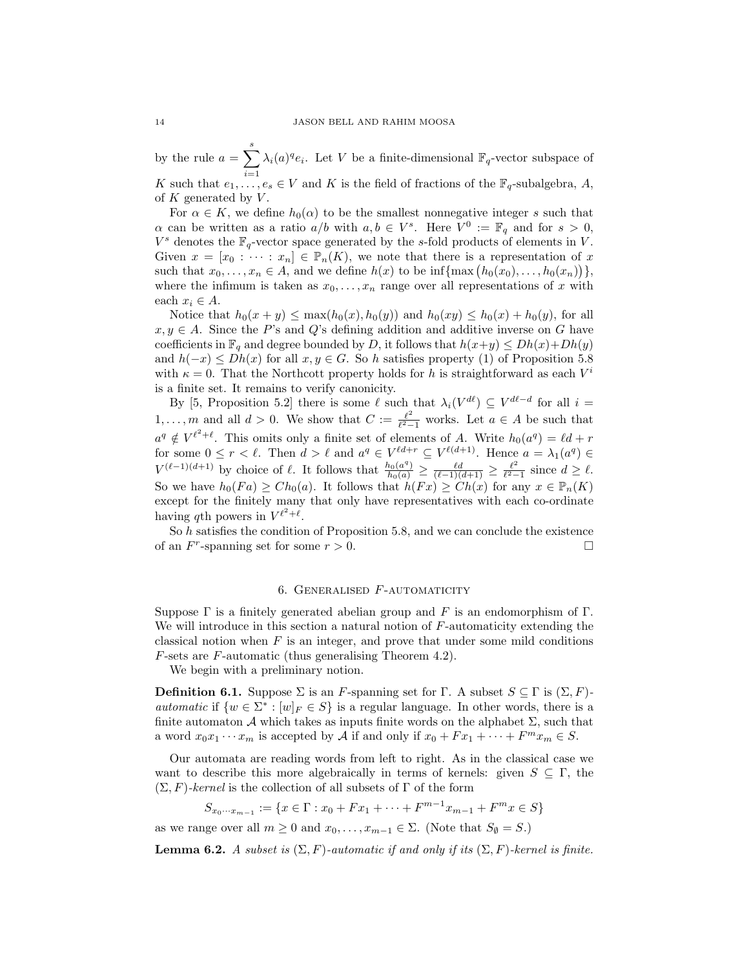by the rule  $a = \sum_{n=1}^{s}$  $i=1$  $\lambda_i(a)^q e_i$ . Let V be a finite-dimensional  $\mathbb{F}_q$ -vector subspace of K such that  $e_1, \ldots, e_s \in V$  and K is the field of fractions of the  $\mathbb{F}_q$ -subalgebra, A, of  $K$  generated by  $V$ .

For  $\alpha \in K$ , we define  $h_0(\alpha)$  to be the smallest nonnegative integer s such that  $\alpha$  can be written as a ratio  $a/b$  with  $a, b \in V^s$ . Here  $V^0 := \mathbb{F}_q$  and for  $s > 0$ ,  $V^s$  denotes the  $\mathbb{F}_q$ -vector space generated by the s-fold products of elements in V. Given  $x = [x_0 : \cdots : x_n] \in \mathbb{P}_n(K)$ , we note that there is a representation of x such that  $x_0, \ldots, x_n \in A$ , and we define  $h(x)$  to be inf{max  $(h_0(x_0), \ldots, h_0(x_n))$ }, where the infimum is taken as  $x_0, \ldots, x_n$  range over all representations of x with each  $x_i \in A$ .

Notice that  $h_0(x + y) \le \max(h_0(x), h_0(y))$  and  $h_0(xy) \le h_0(x) + h_0(y)$ , for all  $x, y \in A$ . Since the P's and Q's defining addition and additive inverse on G have coefficients in  $\mathbb{F}_q$  and degree bounded by D, it follows that  $h(x+y) \le Dh(x)+Dh(y)$ and  $h(-x) \le Dh(x)$  for all  $x, y \in G$ . So h satisfies property (1) of Proposition 5.8 with  $\kappa = 0$ . That the Northcott property holds for h is straightforward as each  $V^i$ is a finite set. It remains to verify canonicity.

By [5, Proposition 5.2] there is some  $\ell$  such that  $\lambda_i(V^{d\ell}) \subseteq V^{d\ell-d}$  for all  $i =$  $1, \ldots, m$  and all  $d > 0$ . We show that  $C := \frac{\ell^2}{\ell^2}$  $\frac{\ell^2}{\ell^2-1}$  works. Let *a* ∈ *A* be such that  $a^q \notin V^{\ell^2+\ell}$ . This omits only a finite set of elements of A. Write  $h_0(a^q) = \ell d + r$ for some  $0 \le r < \ell$ . Then  $d > \ell$  and  $a^q \in V^{\ell d+r} \subseteq V^{\ell(d+1)}$ . Hence  $a = \lambda_1(a^q) \in$  $V^{(\ell-1)(d+1)}$  by choice of  $\ell$ . It follows that  $\frac{h_0(a^q)}{h_0(a)} \geq \frac{\ell^d}{(\ell-1)(d+1)} \geq \frac{\ell^2}{\ell^2-1}$  $\frac{\ell^2}{\ell^2-1}$  since  $d \geq \ell$ . So we have  $h_0(Fa) \geq Ch_0(a)$ . It follows that  $h(Fx) \geq Ch(x)$  for any  $x \in \mathbb{P}_n(K)$ except for the finitely many that only have representatives with each co-ordinate having qth powers in  $V^{\ell^2+\ell}$ .

So h satisfies the condition of Proposition 5.8, and we can conclude the existence of an  $F^r$ -spanning set for some  $r > 0$ .

## 6. Generalised F-automaticity

Suppose  $\Gamma$  is a finitely generated abelian group and F is an endomorphism of  $\Gamma$ . We will introduce in this section a natural notion of F-automaticity extending the classical notion when  $F$  is an integer, and prove that under some mild conditions F-sets are F-automatic (thus generalising Theorem 4.2).

We begin with a preliminary notion.

**Definition 6.1.** Suppose  $\Sigma$  is an F-spanning set for Γ. A subset  $S \subseteq \Gamma$  is  $(\Sigma, F)$ *automatic* if  $\{w \in \Sigma^* : [w]_F \in S\}$  is a regular language. In other words, there is a finite automaton A which takes as inputs finite words on the alphabet  $\Sigma$ , such that a word  $x_0x_1 \cdots x_m$  is accepted by A if and only if  $x_0 + F x_1 + \cdots + F^m x_m \in S$ .

Our automata are reading words from left to right. As in the classical case we want to describe this more algebraically in terms of kernels: given  $S \subseteq \Gamma$ , the  $(\Sigma, F)$ -kernel is the collection of all subsets of  $\Gamma$  of the form

$$
S_{x_0\cdots x_{m-1}} := \{ x \in \Gamma : x_0 + F x_1 + \cdots + F^{m-1} x_{m-1} + F^m x \in S \}
$$

as we range over all  $m \geq 0$  and  $x_0, \ldots, x_{m-1} \in \Sigma$ . (Note that  $S_{\emptyset} = S$ .)

**Lemma 6.2.** A subset is  $(\Sigma, F)$ -automatic if and only if its  $(\Sigma, F)$ -kernel is finite.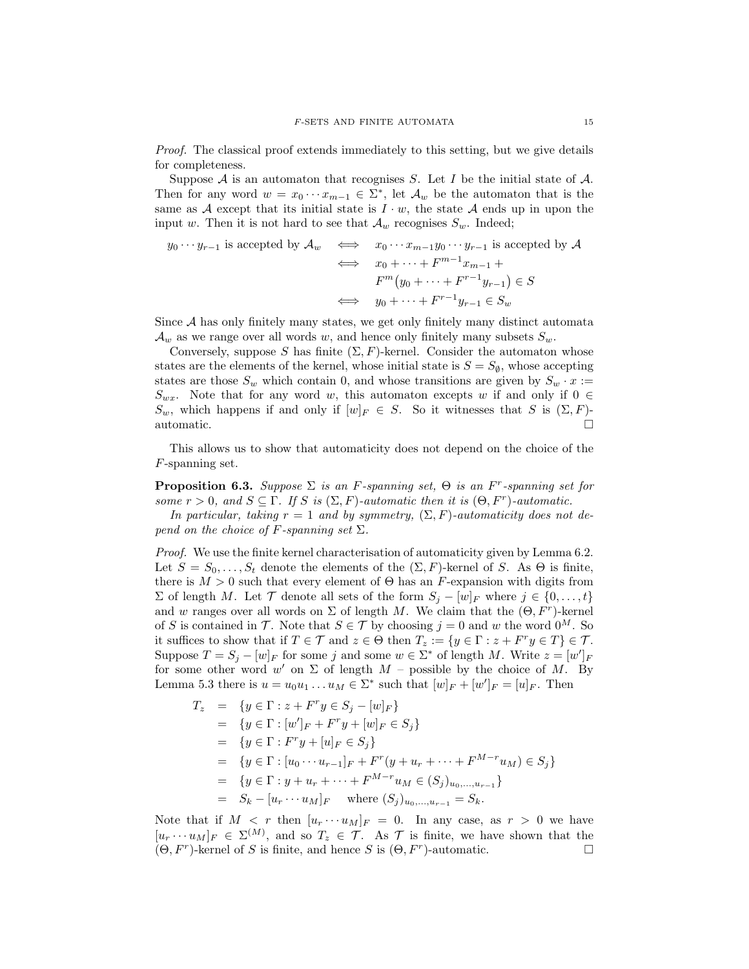Proof. The classical proof extends immediately to this setting, but we give details for completeness.

Suppose  $A$  is an automaton that recognises  $S$ . Let  $I$  be the initial state of  $A$ . Then for any word  $w = x_0 \cdots x_{m-1} \in \Sigma^*$ , let  $\mathcal{A}_w$  be the automaton that is the same as A except that its initial state is  $I \cdot w$ , the state A ends up in upon the input w. Then it is not hard to see that  $\mathcal{A}_w$  recognises  $S_w$ . Indeed;

$$
y_0 \cdots y_{r-1} \text{ is accepted by } \mathcal{A}_w \iff x_0 \cdots x_{m-1} y_0 \cdots y_{r-1} \text{ is accepted by } \mathcal{A}
$$
  

$$
\iff x_0 + \cdots + F^{m-1} x_{m-1} + F^m(y_0 + \cdots + F^{r-1} y_{r-1}) \in S
$$
  

$$
\iff y_0 + \cdots + F^{r-1} y_{r-1} \in S_w
$$

Since  $A$  has only finitely many states, we get only finitely many distinct automata  $\mathcal{A}_w$  as we range over all words w, and hence only finitely many subsets  $S_w$ .

Conversely, suppose S has finite  $(\Sigma, F)$ -kernel. Consider the automaton whose states are the elements of the kernel, whose initial state is  $S = S_{\emptyset}$ , whose accepting states are those  $S_w$  which contain 0, and whose transitions are given by  $S_w \cdot x :=$  $S_{wx}$ . Note that for any word w, this automaton excepts w if and only if  $0 \in$  $S_w$ , which happens if and only if  $[w]_F \in S$ . So it witnesses that S is  $(\Sigma, F)$ automatic.

This allows us to show that automaticity does not depend on the choice of the F-spanning set.

**Proposition 6.3.** Suppose  $\Sigma$  is an F-spanning set,  $\Theta$  is an F<sup>r</sup>-spanning set for some  $r > 0$ , and  $S \subseteq \Gamma$ . If S is  $(\Sigma, F)$ -automatic then it is  $(\Theta, F^r)$ -automatic.

In particular, taking  $r = 1$  and by symmetry,  $(\Sigma, F)$ -automaticity does not depend on the choice of F-spanning set  $\Sigma$ .

Proof. We use the finite kernel characterisation of automaticity given by Lemma 6.2. Let  $S = S_0, \ldots, S_t$  denote the elements of the  $(\Sigma, F)$ -kernel of S. As  $\Theta$  is finite, there is  $M > 0$  such that every element of  $\Theta$  has an F-expansion with digits from  $\Sigma$  of length M. Let  $\mathcal T$  denote all sets of the form  $S_j - [w]_F$  where  $j \in \{0, \ldots, t\}$ and w ranges over all words on  $\Sigma$  of length M. We claim that the  $(\Theta, F^r)$ -kernel of S is contained in T. Note that  $S \in \mathcal{T}$  by choosing  $j = 0$  and w the word  $0^M$ . So it suffices to show that if  $T \in \mathcal{T}$  and  $z \in \Theta$  then  $T_z := \{y \in \Gamma : z + F^r y \in T\} \in \mathcal{T}$ . Suppose  $T = S_j - [w]_F$  for some j and some  $w \in \Sigma^*$  of length M. Write  $z = [w']_F$ for some other word w' on  $\Sigma$  of length  $M$  – possible by the choice of M. By Lemma 5.3 there is  $u = u_0 u_1 \dots u_M \in \Sigma^*$  such that  $[w]_F + [w']_F = [u]_F$ . Then

$$
T_z = \{ y \in \Gamma : z + F^r y \in S_j - [w]_F \}
$$
  
\n
$$
= \{ y \in \Gamma : [w']_F + F^r y + [w]_F \in S_j \}
$$
  
\n
$$
= \{ y \in \Gamma : F^r y + [u]_F \in S_j \}
$$
  
\n
$$
= \{ y \in \Gamma : [u_0 \cdots u_{r-1}]_F + F^r (y + u_r + \cdots + F^{M-r} u_M) \in S_j \}
$$
  
\n
$$
= \{ y \in \Gamma : y + u_r + \cdots + F^{M-r} u_M \in (S_j)_{u_0, \ldots, u_{r-1}} \}
$$
  
\n
$$
= S_k - [u_r \cdots u_M]_F \quad \text{where } (S_j)_{u_0, \ldots, u_{r-1}} = S_k.
$$

Note that if  $M < r$  then  $[u_r \cdots u_M]_F = 0$ . In any case, as  $r > 0$  we have  $[u_r \cdots u_M]_F \in \Sigma^{(M)}$ , and so  $T_z \in \mathcal{T}$ . As  $\mathcal{T}$  is finite, we have shown that the  $(\Theta, F^r)$ -kernel of S is finite, and hence S is  $(\Theta, F^r)$ -automatic.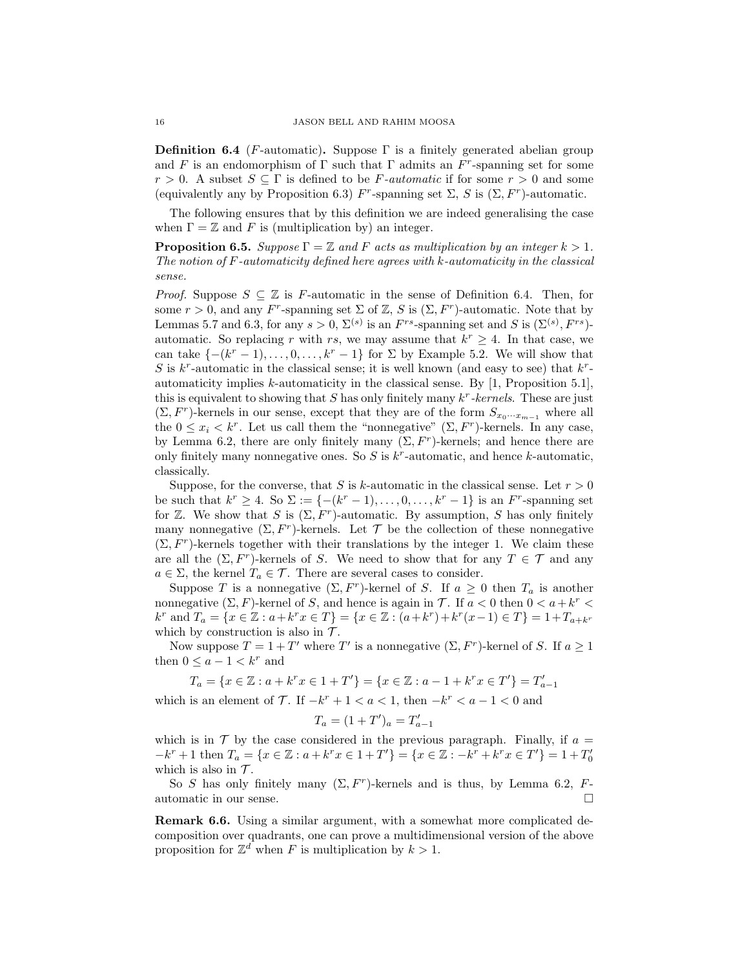**Definition 6.4** (F-automatic). Suppose  $\Gamma$  is a finitely generated abelian group and F is an endomorphism of  $\Gamma$  such that  $\Gamma$  admits an  $F^r$ -spanning set for some  $r > 0$ . A subset  $S \subseteq \Gamma$  is defined to be F-automatic if for some  $r > 0$  and some (equivalently any by Proposition 6.3)  $F^r$ -spanning set  $\Sigma$ , S is  $(\Sigma, F^r)$ -automatic.

The following ensures that by this definition we are indeed generalising the case when  $\Gamma = \mathbb{Z}$  and F is (multiplication by) an integer.

**Proposition 6.5.** Suppose  $\Gamma = \mathbb{Z}$  and F acts as multiplication by an integer  $k > 1$ . The notion of F-automaticity defined here agrees with k-automaticity in the classical sense.

*Proof.* Suppose  $S \subseteq \mathbb{Z}$  is F-automatic in the sense of Definition 6.4. Then, for some  $r > 0$ , and any F<sup>r</sup>-spanning set  $\Sigma$  of  $\mathbb{Z}, S$  is  $(\Sigma, F^r)$ -automatic. Note that by Lemmas 5.7 and 6.3, for any  $s > 0$ ,  $\Sigma^{(s)}$  is an  $F^{rs}$ -spanning set and S is  $(\Sigma^{(s)}, F^{rs})$ automatic. So replacing r with rs, we may assume that  $k^r \geq 4$ . In that case, we can take  $\{-(k^r-1), \ldots, 0, \ldots, k^r-1\}$  for  $\Sigma$  by Example 5.2. We will show that S is  $k^r$ -automatic in the classical sense; it is well known (and easy to see) that  $k^r$ automaticity implies k-automaticity in the classical sense. By [1, Proposition 5.1], this is equivalent to showing that  $S$  has only finitely many  $k^r$ -kernels. These are just  $(\Sigma, F^r)$ -kernels in our sense, except that they are of the form  $S_{x_0\cdots x_{m-1}}$  where all the  $0 \leq x_i < k^r$ . Let us call them the "nonnegative"  $(\Sigma, F^r)$ -kernels. In any case, by Lemma 6.2, there are only finitely many  $(\Sigma, F^r)$ -kernels; and hence there are only finitely many nonnegative ones. So  $S$  is  $k^r$ -automatic, and hence  $k$ -automatic, classically.

Suppose, for the converse, that S is k-automatic in the classical sense. Let  $r > 0$ be such that  $k^r \geq 4$ . So  $\Sigma := \{-(k^r-1), \ldots, 0, \ldots, k^r-1\}$  is an  $F^r$ -spanning set for  $\mathbb{Z}$ . We show that S is  $(\Sigma, \overline{F})$ -automatic. By assumption, S has only finitely many nonnegative  $(\Sigma, F^r)$ -kernels. Let  $\mathcal T$  be the collection of these nonnegative  $(\Sigma, F^r)$ -kernels together with their translations by the integer 1. We claim these are all the  $(\Sigma, F^r)$ -kernels of S. We need to show that for any  $T \in \mathcal{T}$  and any  $a \in \Sigma$ , the kernel  $T_a \in \mathcal{T}$ . There are several cases to consider.

Suppose T is a nonnegative  $(\Sigma, F^r)$ -kernel of S. If  $a \geq 0$  then  $T_a$  is another nonnegative  $(\Sigma, F)$ -kernel of S, and hence is again in T. If  $a < 0$  then  $0 < a + k^r <$  $k^r$  and  $T_a = \{x \in \mathbb{Z} : a + k^r x \in T\} = \{x \in \mathbb{Z} : (a + k^r) + k^r (x - 1) \in T\} = 1 + T_{a + k^r}$ which by construction is also in  $\mathcal{T}$ .

Now suppose  $T = 1 + T'$  where T' is a nonnegative  $(\Sigma, F^r)$ -kernel of S. If  $a \ge 1$ then  $0 \leq a - 1 < k^r$  and

$$
T_a = \{x \in \mathbb{Z} : a + k^r x \in 1 + T'\} = \{x \in \mathbb{Z} : a - 1 + k^r x \in T'\} = T'_{a-1}
$$

which is an element of  $\mathcal{T}$ . If  $-k^r + 1 < a < 1$ , then  $-k^r < a - 1 < 0$  and

$$
T_a = (1 + T')_a = T'_{a-1}
$$

which is in  $\mathcal T$  by the case considered in the previous paragraph. Finally, if  $a =$  $-k^{r}+1$  then  $T_a = \{x \in \mathbb{Z} : a + k^{r}x \in 1 + T'\} = \{x \in \mathbb{Z} : -k^{r} + k^{r}x \in T'\} = 1 + T'_0$ which is also in  $\mathcal{T}$ .

So S has only finitely many  $(\Sigma, F^r)$ -kernels and is thus, by Lemma 6.2, Fautomatic in our sense.  $\hfill \square$ 

Remark 6.6. Using a similar argument, with a somewhat more complicated decomposition over quadrants, one can prove a multidimensional version of the above proposition for  $\mathbb{Z}^d$  when F is multiplication by  $k > 1$ .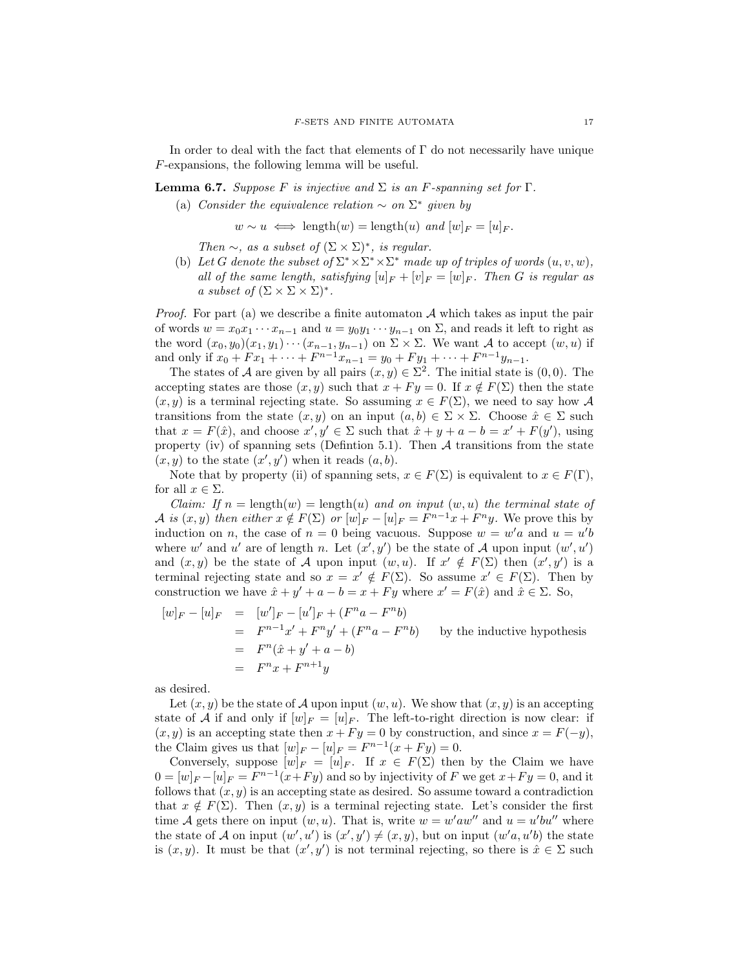In order to deal with the fact that elements of  $\Gamma$  do not necessarily have unique F-expansions, the following lemma will be useful.

**Lemma 6.7.** Suppose F is injective and  $\Sigma$  is an F-spanning set for  $\Gamma$ .

(a) Consider the equivalence relation  $\sim$  on  $\Sigma^*$  given by

$$
w \sim u \iff
$$
 length $(w)$  = length $(u)$  and  $[w]_F = [u]_F$ .

Then  $\sim$ , as a subset of  $(\Sigma \times \Sigma)^*$ , is regular.

(b) Let G denote the subset of  $\Sigma^* \times \Sigma^* \times \Sigma^*$  made up of triples of words  $(u, v, w)$ , all of the same length, satisfying  $[u]_F + [v]_F = [w]_F$ . Then G is regular as a subset of  $(\Sigma \times \Sigma \times \Sigma)^*$ .

*Proof.* For part (a) we describe a finite automaton  $A$  which takes as input the pair of words  $w = x_0 x_1 \cdots x_{n-1}$  and  $u = y_0 y_1 \cdots y_{n-1}$  on  $\Sigma$ , and reads it left to right as the word  $(x_0, y_0)(x_1, y_1)\cdots(x_{n-1}, y_{n-1})$  on  $\Sigma \times \Sigma$ . We want A to accept  $(w, u)$  if and only if  $x_0 + F x_1 + \cdots + F^{n-1} x_{n-1} = y_0 + F y_1 + \cdots + F^{n-1} y_{n-1}$ .

The states of A are given by all pairs  $(x, y) \in \Sigma^2$ . The initial state is  $(0, 0)$ . The accepting states are those  $(x, y)$  such that  $x + F y = 0$ . If  $x \notin F(\Sigma)$  then the state  $(x, y)$  is a terminal rejecting state. So assuming  $x \in F(\Sigma)$ , we need to say how A transitions from the state  $(x, y)$  on an input  $(a, b) \in \Sigma \times \Sigma$ . Choose  $\hat{x} \in \Sigma$  such that  $x = F(\hat{x})$ , and choose  $x', y' \in \Sigma$  such that  $\hat{x} + y + a - b = x' + F(y')$ , using property (iv) of spanning sets (Defintion 5.1). Then  $A$  transitions from the state  $(x, y)$  to the state  $(x', y')$  when it reads  $(a, b)$ .

Note that by property (ii) of spanning sets,  $x \in F(\Sigma)$  is equivalent to  $x \in F(\Gamma)$ , for all  $x \in \Sigma$ .

Claim: If  $n = \text{length}(w) = \text{length}(u)$  and on input  $(w, u)$  the terminal state of *A* is  $(x, y)$  then either  $x \notin F(\Sigma)$  or  $[w]_F - [u]_F = F^{n-1}x + F^n y$ . We prove this by induction on *n*, the case of  $n = 0$  being vacuous. Suppose  $w = w'a$  and  $u = u'b$ where w' and u' are of length n. Let  $(x', y')$  be the state of A upon input  $(w', u')$ and  $(x, y)$  be the state of A upon input  $(w, u)$ . If  $x' \notin F(\Sigma)$  then  $(x', y')$  is a terminal rejecting state and so  $x = x' \notin F(\Sigma)$ . So assume  $x' \in F(\Sigma)$ . Then by construction we have  $\hat{x} + y' + a - b = x + Fy$  where  $x' = F(\hat{x})$  and  $\hat{x} \in \Sigma$ . So,

$$
[w]_F - [u]_F = [w']_F - [u']_F + (F^n a - F^n b)
$$
  
= 
$$
F^{n-1}x' + F^n y' + (F^n a - F^n b)
$$
 by the inductive hypothesis  
= 
$$
F^n(\hat{x} + y' + a - b)
$$
  
= 
$$
F^n x + F^{n+1} y
$$

as desired.

Let  $(x, y)$  be the state of A upon input  $(w, u)$ . We show that  $(x, y)$  is an accepting state of A if and only if  $[w]_F = [u]_F$ . The left-to-right direction is now clear: if  $(x, y)$  is an accepting state then  $x + F y = 0$  by construction, and since  $x = F(-y)$ , the Claim gives us that  $[w]_F - [u]_F = F^{n-1}(x + Fy) = 0.$ 

Conversely, suppose  $[w]_F = [u]_F$ . If  $x \in F(\Sigma)$  then by the Claim we have  $0 = [w]_F - [u]_F = F^{n-1}(x + Fy)$  and so by injectivity of F we get  $x + Fy = 0$ , and it follows that  $(x, y)$  is an accepting state as desired. So assume toward a contradiction that  $x \notin F(\Sigma)$ . Then  $(x, y)$  is a terminal rejecting state. Let's consider the first time A gets there on input  $(w, u)$ . That is, write  $w = w'aw''$  and  $u = u'bu''$  where the state of A on input  $(w', u')$  is  $(x', y') \neq (x, y)$ , but on input  $(w'a, u'b)$  the state is  $(x, y)$ . It must be that  $(x', y')$  is not terminal rejecting, so there is  $\hat{x} \in \Sigma$  such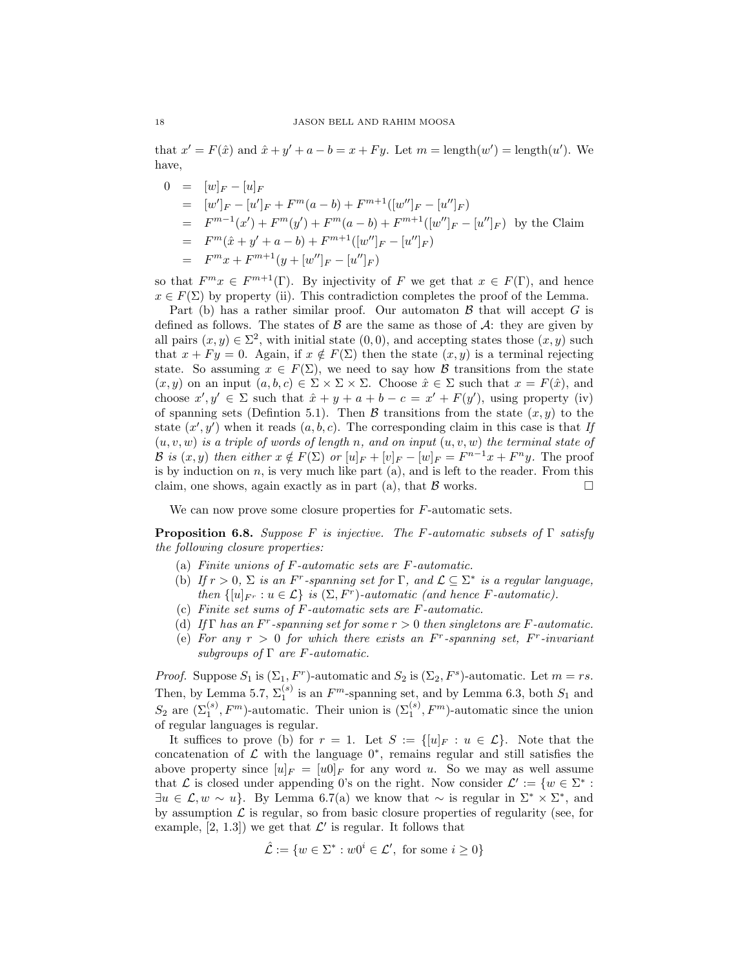that  $x' = F(\hat{x})$  and  $\hat{x} + y' + a - b = x + Fy$ . Let  $m = \text{length}(w') = \text{length}(u')$ . We have,

$$
0 = [w]_F - [u]_F
$$
  
\n
$$
= [w']_F - [u']_F + F^m(a - b) + F^{m+1}([w'']_F - [u'']_F)
$$
  
\n
$$
= F^{m-1}(x') + F^m(y') + F^m(a - b) + F^{m+1}([w'']_F - [u'']_F) \text{ by the Claim}
$$
  
\n
$$
= F^m(\hat{x} + y' + a - b) + F^{m+1}([w'']_F - [u'']_F)
$$
  
\n
$$
= F^m x + F^{m+1}(y + [w'']_F - [u'']_F)
$$

so that  $F^m x \in F^{m+1}(\Gamma)$ . By injectivity of F we get that  $x \in F(\Gamma)$ , and hence  $x \in F(\Sigma)$  by property (ii). This contradiction completes the proof of the Lemma.

Part (b) has a rather similar proof. Our automaton  $\beta$  that will accept G is defined as follows. The states of  $\beta$  are the same as those of  $\mathcal{A}$ : they are given by all pairs  $(x, y) \in \Sigma^2$ , with initial state  $(0, 0)$ , and accepting states those  $(x, y)$  such that  $x + F y = 0$ . Again, if  $x \notin F(\Sigma)$  then the state  $(x, y)$  is a terminal rejecting state. So assuming  $x \in F(\Sigma)$ , we need to say how B transitions from the state  $(x, y)$  on an input  $(a, b, c) \in \Sigma \times \Sigma \times \Sigma$ . Choose  $\hat{x} \in \Sigma$  such that  $x = F(\hat{x})$ , and choose  $x', y' \in \Sigma$  such that  $\hat{x} + y + a + b - c = x' + F(y')$ , using property (iv) of spanning sets (Defintion 5.1). Then  $\beta$  transitions from the state  $(x, y)$  to the state  $(x', y')$  when it reads  $(a, b, c)$ . The corresponding claim in this case is that If  $(u, v, w)$  is a triple of words of length n, and on input  $(u, v, w)$  the terminal state of B is  $(x, y)$  then either  $x \notin F(\Sigma)$  or  $[u]_F + [v]_F - [w]_F = F^{n-1}x + F^n y$ . The proof is by induction on  $n$ , is very much like part  $(a)$ , and is left to the reader. From this claim, one shows, again exactly as in part (a), that  $\mathcal{B}$  works.

We can now prove some closure properties for F-automatic sets.

**Proposition 6.8.** Suppose F is injective. The F-automatic subsets of  $\Gamma$  satisfy the following closure properties:

- (a) Finite unions of F-automatic sets are F-automatic.
- (b) If  $r > 0$ ,  $\Sigma$  is an F<sup>r</sup>-spanning set for  $\Gamma$ , and  $\mathcal{L} \subseteq \Sigma^*$  is a regular language, then  $\{[u]_{F^r} : u \in \mathcal{L}\}\$ is  $(\Sigma, F^r)$ -automatic (and hence F-automatic).
- (c) Finite set sums of F-automatic sets are F-automatic.
- (d) If  $\Gamma$  has an  $F^r$ -spanning set for some  $r > 0$  then singletons are F-automatic.
- (e) For any  $r > 0$  for which there exists an  $F<sup>r</sup>$ -spanning set,  $F<sup>r</sup>$ -invariant subgroups of  $\Gamma$  are F-automatic.

*Proof.* Suppose  $S_1$  is  $(\Sigma_1, F^r)$ -automatic and  $S_2$  is  $(\Sigma_2, F^s)$ -automatic. Let  $m = rs$ . Then, by Lemma 5.7,  $\Sigma_1^{(s)}$  is an  $F^m$ -spanning set, and by Lemma 6.3, both  $S_1$  and  $S_2$  are  $(\Sigma_1^{(s)}, F^m)$ -automatic. Their union is  $(\Sigma_1^{(s)}, F^m)$ -automatic since the union of regular languages is regular.

It suffices to prove (b) for  $r = 1$ . Let  $S := \{ [u]_F : u \in \mathcal{L} \}$ . Note that the concatenation of  $\mathcal L$  with the language  $0^*$ , remains regular and still satisfies the above property since  $[u]_F = [u\mathbf{0}]_F$  for any word u. So we may as well assume that  $\mathcal L$  is closed under appending 0's on the right. Now consider  $\mathcal L' := \{w \in \Sigma^* :$  $\exists u \in \mathcal{L}, w \sim u$ . By Lemma 6.7(a) we know that  $\sim$  is regular in  $\Sigma^* \times \Sigma^*$ , and by assumption  $\mathcal L$  is regular, so from basic closure properties of regularity (see, for example,  $[2, 1.3]$  we get that  $\mathcal{L}'$  is regular. It follows that

$$
\hat{\mathcal{L}} := \{ w \in \Sigma^* : w0^i \in \mathcal{L}', \text{ for some } i \ge 0 \}
$$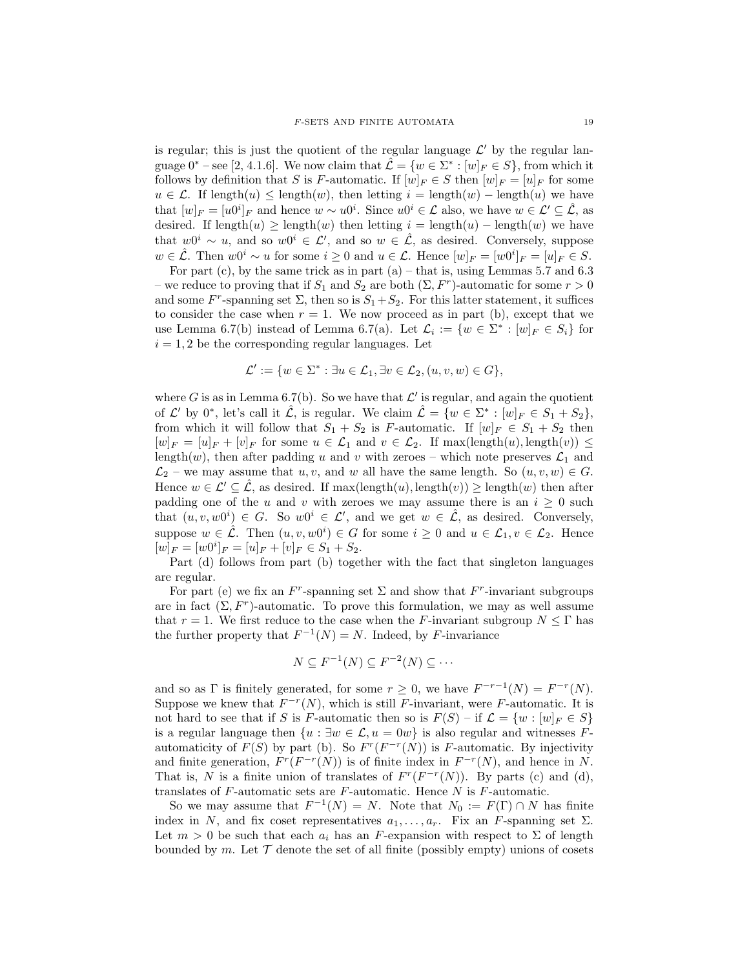is regular; this is just the quotient of the regular language  $\mathcal{L}'$  by the regular language  $0^*$  – see [2, 4.1.6]. We now claim that  $\mathcal{L} = \{w \in \Sigma^* : [w]_F \in S\}$ , from which it follows by definition that S is F-automatic. If  $[w]_F \in S$  then  $[w]_F = [u]_F$  for some  $u \in \mathcal{L}$ . If length(u) ≤ length(w), then letting  $i = \text{length}(w) - \text{length}(u)$  we have that  $[w]_F = [u0^i]_F$  and hence  $w \sim u0^i$ . Since  $u0^i \in \mathcal{L}$  also, we have  $w \in \mathcal{L}' \subseteq \hat{\mathcal{L}}$ , as desired. If length $(u) \geq \text{length}(w)$  then letting  $i = \text{length}(u) - \text{length}(w)$  we have that  $w0^i \sim u$ , and so  $w0^i \in \mathcal{L}'$ , and so  $w \in \hat{\mathcal{L}}$ , as desired. Conversely, suppose  $w \in \hat{\mathcal{L}}$ . Then  $w0^i \sim u$  for some  $i \geq 0$  and  $u \in \mathcal{L}$ . Hence  $[w]_F = [w0^i]_F = [u]_F \in S$ .

For part  $(c)$ , by the same trick as in part  $(a)$  – that is, using Lemmas 5.7 and 6.3 – we reduce to proving that if  $S_1$  and  $S_2$  are both  $(\Sigma, F^r)$ -automatic for some  $r > 0$ and some  $F^r$ -spanning set  $\Sigma$ , then so is  $S_1 + S_2$ . For this latter statement, it suffices to consider the case when  $r = 1$ . We now proceed as in part (b), except that we use Lemma 6.7(b) instead of Lemma 6.7(a). Let  $\mathcal{L}_i := \{w \in \Sigma^* : [w]_F \in S_i\}$  for  $i = 1, 2$  be the corresponding regular languages. Let

$$
\mathcal{L}' := \{ w \in \Sigma^* : \exists u \in \mathcal{L}_1, \exists v \in \mathcal{L}_2, (u, v, w) \in G \},
$$

where G is as in Lemma 6.7(b). So we have that  $\mathcal{L}'$  is regular, and again the quotient of  $\mathcal{L}'$  by  $0^*$ , let's call it  $\hat{\mathcal{L}}$ , is regular. We claim  $\hat{\mathcal{L}} = \{w \in \Sigma^* : [w]_F \in S_1 + S_2\},\$ from which it will follow that  $S_1 + S_2$  is F-automatic. If  $[w]_F \in S_1 + S_2$  then  $[w]_F = [u]_F + [v]_F$  for some  $u \in \mathcal{L}_1$  and  $v \in \mathcal{L}_2$ . If  $\max(\text{length}(u), \text{length}(v)) \leq$ length(w), then after padding u and v with zeroes – which note preserves  $\mathcal{L}_1$  and  $\mathcal{L}_2$  – we may assume that u, v, and w all have the same length. So  $(u, v, w) \in G$ . Hence  $w \in \mathcal{L}' \subseteq \mathcal{L}$ , as desired. If max(length(u), length(v))  $\geq$  length(w) then after padding one of the u and v with zeroes we may assume there is an  $i \geq 0$  such that  $(u, v, w0^i) \in G$ . So  $w0^i \in \mathcal{L}'$ , and we get  $w \in \hat{\mathcal{L}}$ , as desired. Conversely, suppose  $w \in \mathcal{L}$ . Then  $(u, v, w0^i) \in G$  for some  $i \geq 0$  and  $u \in \mathcal{L}_1, v \in \mathcal{L}_2$ . Hence  $[w]_F = [w0^i]_F = [u]_F + [v]_F \in S_1 + S_2.$ 

Part (d) follows from part (b) together with the fact that singleton languages are regular.

For part (e) we fix an  $F^r$ -spanning set  $\Sigma$  and show that  $F^r$ -invariant subgroups are in fact  $(\Sigma, F^r)$ -automatic. To prove this formulation, we may as well assume that  $r = 1$ . We first reduce to the case when the F-invariant subgroup  $N \leq \Gamma$  has the further property that  $F^{-1}(N) = N$ . Indeed, by F-invariance

$$
N \subseteq F^{-1}(N) \subseteq F^{-2}(N) \subseteq \cdots
$$

and so as  $\Gamma$  is finitely generated, for some  $r \geq 0$ , we have  $F^{-r-1}(N) = F^{-r}(N)$ . Suppose we knew that  $F^{-r}(N)$ , which is still F-invariant, were F-automatic. It is not hard to see that if S is F-automatic then so is  $F(S)$  – if  $\mathcal{L} = \{w : [w]_F \in S\}$ is a regular language then  $\{u : \exists w \in \mathcal{L}, u = 0w\}$  is also regular and witnesses Fautomaticity of  $F(S)$  by part (b). So  $F^{r}(F^{-r}(N))$  is F-automatic. By injectivity and finite generation,  $F^r(F^{-r}(N))$  is of finite index in  $F^{-r}(N)$ , and hence in N. That is, N is a finite union of translates of  $F^r(F^{-r}(N))$ . By parts (c) and (d), translates of  $F$ -automatic sets are  $F$ -automatic. Hence  $N$  is  $F$ -automatic.

So we may assume that  $F^{-1}(N) = N$ . Note that  $N_0 := F(\Gamma) \cap N$  has finite index in N, and fix coset representatives  $a_1, \ldots, a_r$ . Fix an F-spanning set  $\Sigma$ . Let  $m > 0$  be such that each  $a_i$  has an F-expansion with respect to  $\Sigma$  of length bounded by m. Let  $\mathcal T$  denote the set of all finite (possibly empty) unions of cosets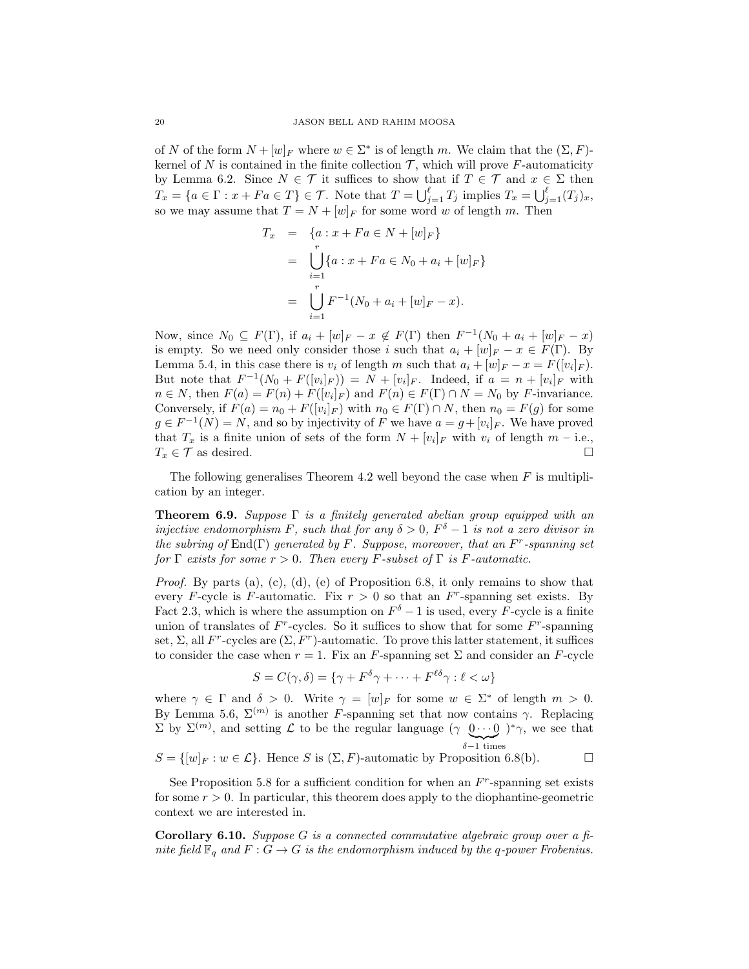of N of the form  $N + [w]_F$  where  $w \in \Sigma^*$  is of length m. We claim that the  $(\Sigma, F)$ kernel of N is contained in the finite collection  $\mathcal{T}$ , which will prove F-automaticity by Lemma 6.2. Since  $N \in \mathcal{T}$  it suffices to show that if  $T \in \mathcal{T}$  and  $x \in \Sigma$  then  $T_x = \{a \in \Gamma : x + Fa \in T\} \in \mathcal{T}$ . Note that  $T = \bigcup_{j=1}^{\ell} T_j$  implies  $T_x = \bigcup_{j=1}^{\ell} (T_j)_x$ , so we may assume that  $T = N + [w]_F$  for some word w of length m. Then

$$
T_x = \{a : x + Fa \in N + [w]_F\}
$$
  
= 
$$
\bigcup_{i=1}^r \{a : x + Fa \in N_0 + a_i + [w]_F\}
$$
  
= 
$$
\bigcup_{i=1}^r F^{-1}(N_0 + a_i + [w]_F - x).
$$

Now, since  $N_0 \subseteq F(\Gamma)$ , if  $a_i + [w]_F - x \notin F(\Gamma)$  then  $F^{-1}(N_0 + a_i + [w]_F - x)$ is empty. So we need only consider those i such that  $a_i + [w]_F - x \in F(\Gamma)$ . By Lemma 5.4, in this case there is  $v_i$  of length m such that  $a_i + [w]_F - x = F([v_i]_F)$ . But note that  $F^{-1}(N_0 + F([v_i]_F)) = N + [v_i]_F$ . Indeed, if  $a = n + [v_i]_F$  with  $n \in N$ , then  $F(a) = F(n) + F([v_i]_F)$  and  $F(n) \in F(\Gamma) \cap N = N_0$  by F-invariance. Conversely, if  $F(a) = n_0 + F([v_i]_F)$  with  $n_0 \in F(\Gamma) \cap N$ , then  $n_0 = F(g)$  for some  $g \in F^{-1}(N) = N$ , and so by injectivity of F we have  $a = g + [v_i]_F$ . We have proved that  $T_x$  is a finite union of sets of the form  $N + [v_i]_F$  with  $v_i$  of length  $m - i.e.,$  $T_x \in \mathcal{T}$  as desired.

The following generalises Theorem 4.2 well beyond the case when  $F$  is multiplication by an integer.

**Theorem 6.9.** Suppose  $\Gamma$  is a finitely generated abelian group equipped with an injective endomorphism F, such that for any  $\delta > 0$ ,  $F^{\delta} - 1$  is not a zero divisor in the subring of  $\text{End}(\Gamma)$  generated by F. Suppose, moreover, that an F<sup>r</sup>-spanning set for  $\Gamma$  exists for some  $r > 0$ . Then every F-subset of  $\Gamma$  is F-automatic.

*Proof.* By parts (a), (c), (d), (e) of Proposition 6.8, it only remains to show that every F-cycle is F-automatic. Fix  $r > 0$  so that an F<sup>r</sup>-spanning set exists. By Fact 2.3, which is where the assumption on  $F^{\delta} - 1$  is used, every F-cycle is a finite union of translates of  $F^r$ -cycles. So it suffices to show that for some  $F^r$ -spanning set,  $\Sigma$ , all  $F^r$ -cycles are  $(\Sigma, F^r)$ -automatic. To prove this latter statement, it suffices to consider the case when  $r = 1$ . Fix an F-spanning set  $\Sigma$  and consider an F-cycle

$$
S = C(\gamma, \delta) = \{ \gamma + F^{\delta}\gamma + \dots + F^{\ell\delta}\gamma : \ell < \omega \}
$$

where  $\gamma \in \Gamma$  and  $\delta > 0$ . Write  $\gamma = [w]_F$  for some  $w \in \Sigma^*$  of length  $m > 0$ . By Lemma 5.6,  $\Sigma^{(m)}$  is another F-spanning set that now contains  $\gamma$ . Replacing  $\Sigma$  by  $\Sigma^{(m)}$ , and setting  $\mathcal L$  to be the regular language  $(γ 0…0)^*γ$ , we see that  $\delta$ -1 times

 $S = \{ [w]_F : w \in \mathcal{L} \}.$  Hence S is  $(\Sigma, F)$ -automatic by Proposition 6.8(b).

See Proposition 5.8 for a sufficient condition for when an  $F<sup>r</sup>$ -spanning set exists for some  $r > 0$ . In particular, this theorem does apply to the diophantine-geometric context we are interested in.

**Corollary 6.10.** Suppose G is a connected commutative algebraic group over a finite field  $\mathbb{F}_q$  and  $F: G \to G$  is the endomorphism induced by the q-power Frobenius.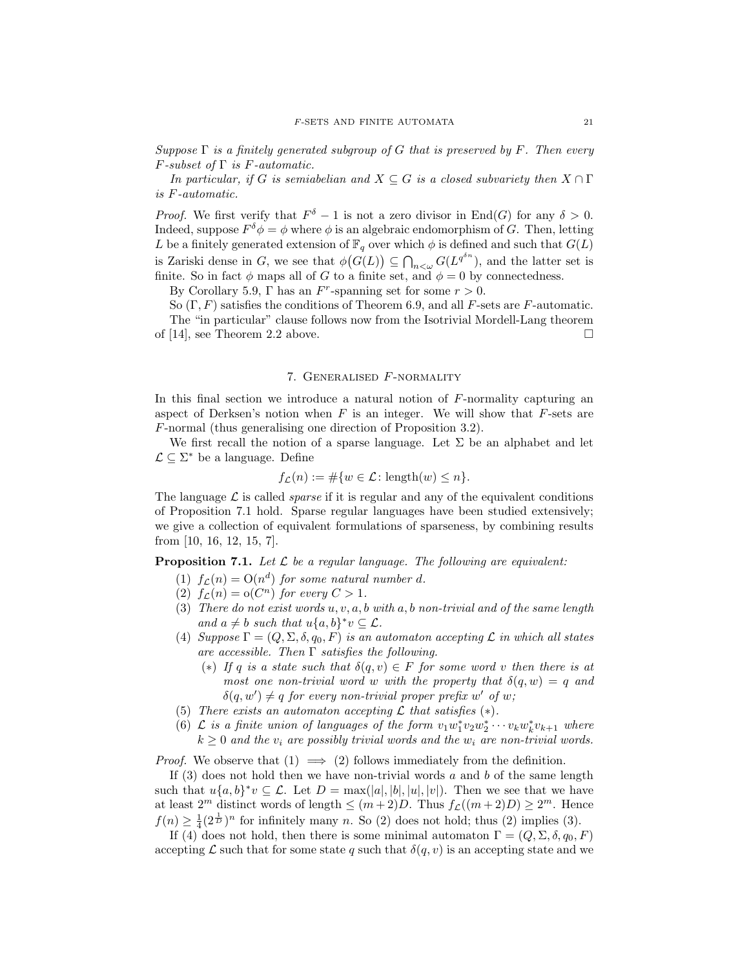Suppose  $\Gamma$  is a finitely generated subgroup of G that is preserved by F. Then every  $F\text{-}subset$  of  $\Gamma$  is  $F\text{-}automatic$ .

In particular, if G is semiabelian and  $X \subseteq G$  is a closed subvariety then  $X \cap \Gamma$ is F-automatic.

*Proof.* We first verify that  $F^{\delta} - 1$  is not a zero divisor in End(G) for any  $\delta > 0$ . Indeed, suppose  $F^{\delta} \phi = \phi$  where  $\phi$  is an algebraic endomorphism of G. Then, letting L be a finitely generated extension of  $\mathbb{F}_q$  over which  $\phi$  is defined and such that  $G(L)$ is Zariski dense in G, we see that  $\phi(G(L)) \subseteq \bigcap_{n<\omega} G(L^{q^{\delta n}})$ , and the latter set is finite. So in fact  $\phi$  maps all of G to a finite set, and  $\phi = 0$  by connectedness.

By Corollary 5.9,  $\Gamma$  has an  $F^r$ -spanning set for some  $r > 0$ .

So  $(\Gamma, F)$  satisfies the conditions of Theorem 6.9, and all F-sets are F-automatic. The "in particular" clause follows now from the Isotrivial Mordell-Lang theorem of [14], see Theorem 2.2 above.  $\square$ 

## 7. Generalised F-normality

In this final section we introduce a natural notion of F-normality capturing an aspect of Derksen's notion when  $F$  is an integer. We will show that  $F$ -sets are F-normal (thus generalising one direction of Proposition 3.2).

We first recall the notion of a sparse language. Let  $\Sigma$  be an alphabet and let  $\mathcal{L} \subseteq \Sigma^*$  be a language. Define

$$
f_{\mathcal{L}}(n) := \# \{ w \in \mathcal{L} : \text{length}(w) \le n \}.
$$

The language  $\mathcal L$  is called *sparse* if it is regular and any of the equivalent conditions of Proposition 7.1 hold. Sparse regular languages have been studied extensively; we give a collection of equivalent formulations of sparseness, by combining results from [10, 16, 12, 15, 7].

**Proposition 7.1.** Let  $\mathcal L$  be a regular language. The following are equivalent:

- (1)  $f_{\mathcal{L}}(n) = O(n^d)$  for some natural number d.
- (2)  $f_{\mathcal{L}}(n) = o(C^n)$  for every  $C > 1$ .
- (3) There do not exist words  $u, v, a, b$  with a, b non-trivial and of the same length and  $a \neq b$  such that  $u\{a,b\}^*v \subseteq \mathcal{L}$ .
- (4) Suppose  $\Gamma = (Q, \Sigma, \delta, q_0, F)$  is an automaton accepting  $\mathcal L$  in which all states are accessible. Then  $\Gamma$  satisfies the following.
	- (\*) If q is a state such that  $\delta(q, v) \in F$  for some word v then there is at most one non-trivial word w with the property that  $\delta(q, w) = q$  and  $\delta(q, w') \neq q$  for every non-trivial proper prefix w' of w;
- (5) There exists an automaton accepting  $\mathcal L$  that satisfies  $(*)$ .
- (6)  $\mathcal L$  is a finite union of languages of the form  $v_1w_1^*v_2w_2^*\cdots v_kw_k^*v_{k+1}$  where  $k \geq 0$  and the  $v_i$  are possibly trivial words and the  $w_i$  are non-trivial words.

*Proof.* We observe that (1)  $\implies$  (2) follows immediately from the definition.

If (3) does not hold then we have non-trivial words a and b of the same length such that  $u\{a,b\}^*v \subseteq \mathcal{L}$ . Let  $D = \max(|a|, |b|, |u|, |v|)$ . Then we see that we have at least  $2^m$  distinct words of length  $\leq (m+2)D$ . Thus  $f_{\mathcal{L}}((m+2)D) \geq 2^m$ . Hence  $f(n) \geq \frac{1}{4} (2^{\frac{1}{D}})^n$  for infinitely many n. So (2) does not hold; thus (2) implies (3).

If (4) does not hold, then there is some minimal automaton  $\Gamma = (Q, \Sigma, \delta, q_0, F)$ accepting  $\mathcal L$  such that for some state q such that  $\delta(q, v)$  is an accepting state and we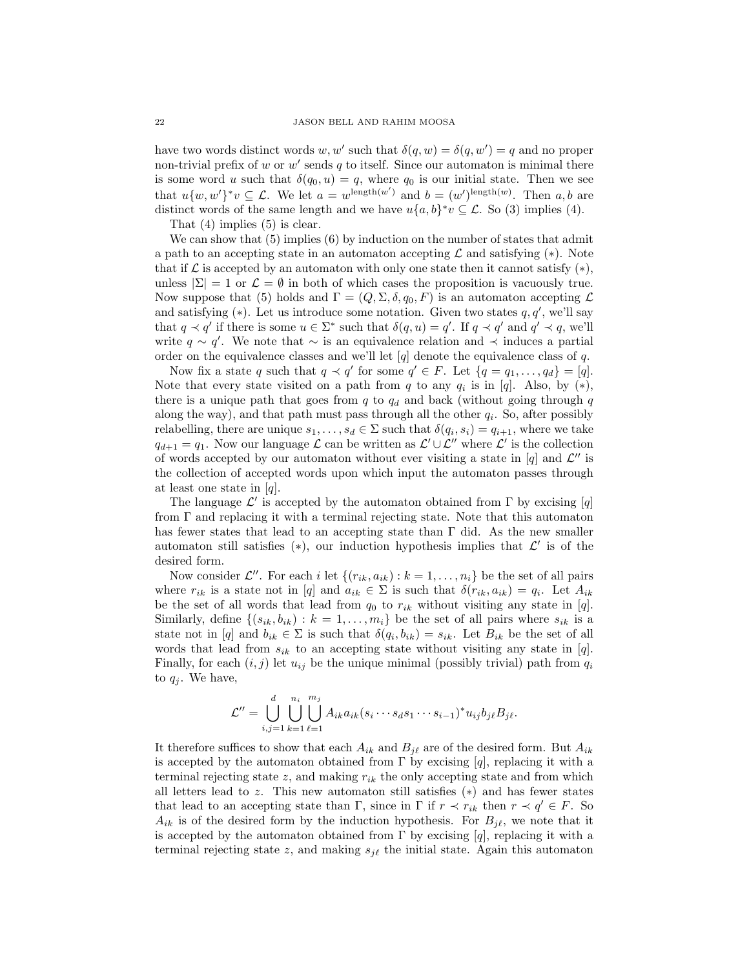have two words distinct words  $w, w'$  such that  $\delta(q, w) = \delta(q, w') = q$  and no proper non-trivial prefix of w or  $w'$  sends q to itself. Since our automaton is minimal there is some word u such that  $\delta(q_0, u) = q$ , where  $q_0$  is our initial state. Then we see that  $u\{w,w'\}^*v \subseteq \mathcal{L}$ . We let  $a = w^{\text{length}(w')}$  and  $b = (w')^{\text{length}(w)}$ . Then  $a, b$  are distinct words of the same length and we have  $u\{a,b\}^*v \subseteq \mathcal{L}$ . So (3) implies (4).

That (4) implies (5) is clear.

We can show that  $(5)$  implies  $(6)$  by induction on the number of states that admit a path to an accepting state in an automaton accepting  $\mathcal L$  and satisfying  $(*)$ . Note that if  $\mathcal L$  is accepted by an automaton with only one state then it cannot satisfy  $(*),$ unless  $|\Sigma| = 1$  or  $\mathcal{L} = \emptyset$  in both of which cases the proposition is vacuously true. Now suppose that (5) holds and  $\Gamma = (Q, \Sigma, \delta, q_0, F)$  is an automaton accepting  $\mathcal L$ and satisfying  $(*)$ . Let us introduce some notation. Given two states  $q, q'$ , we'll say that  $q \prec q'$  if there is some  $u \in \Sigma^*$  such that  $\delta(q, u) = q'$ . If  $q \prec q'$  and  $q' \prec q$ , we'll write  $q \sim q'$ . We note that  $\sim$  is an equivalence relation and  $\prec$  induces a partial order on the equivalence classes and we'll let  $[q]$  denote the equivalence class of q.

Now fix a state q such that  $q \prec q'$  for some  $q' \in F$ . Let  $\{q = q_1, \ldots, q_d\} = [q]$ . Note that every state visited on a path from q to any  $q_i$  is in [q]. Also, by  $(*),$ there is a unique path that goes from  $q$  to  $q_d$  and back (without going through  $q$ along the way), and that path must pass through all the other  $q_i$ . So, after possibly relabelling, there are unique  $s_1, \ldots, s_d \in \Sigma$  such that  $\delta(q_i, s_i) = q_{i+1}$ , where we take  $q_{d+1} = q_1$ . Now our language  $\mathcal L$  can be written as  $\mathcal L' \cup \mathcal L''$  where  $\mathcal L'$  is the collection of words accepted by our automaton without ever visiting a state in [q] and  $\mathcal{L}''$  is the collection of accepted words upon which input the automaton passes through at least one state in  $[q]$ .

The language  $\mathcal{L}'$  is accepted by the automaton obtained from  $\Gamma$  by excising [q] from Γ and replacing it with a terminal rejecting state. Note that this automaton has fewer states that lead to an accepting state than  $\Gamma$  did. As the new smaller automaton still satisfies  $(*),$  our induction hypothesis implies that  $\mathcal{L}'$  is of the desired form.

Now consider  $\mathcal{L}''$ . For each i let  $\{(r_{ik}, a_{ik}) : k = 1, \ldots, n_i\}$  be the set of all pairs where  $r_{ik}$  is a state not in [q] and  $a_{ik} \in \Sigma$  is such that  $\delta(r_{ik}, a_{ik}) = q_i$ . Let  $A_{ik}$ be the set of all words that lead from  $q_0$  to  $r_{ik}$  without visiting any state in [q]. Similarly, define  $\{(s_{ik}, b_{ik}) : k = 1, \ldots, m_i\}$  be the set of all pairs where  $s_{ik}$  is a state not in [q] and  $b_{ik} \in \Sigma$  is such that  $\delta(q_i, b_{ik}) = s_{ik}$ . Let  $B_{ik}$  be the set of all words that lead from  $s_{ik}$  to an accepting state without visiting any state in [q]. Finally, for each  $(i, j)$  let  $u_{ij}$  be the unique minimal (possibly trivial) path from  $q_i$ to  $q_j$ . We have,

$$
\mathcal{L}'' = \bigcup_{i,j=1}^d \bigcup_{k=1}^{n_i} \bigcup_{\ell=1}^{m_j} A_{ik} a_{ik} (s_i \cdots s_d s_1 \cdots s_{i-1})^* u_{ij} b_{j\ell} B_{j\ell}.
$$

It therefore suffices to show that each  $A_{ik}$  and  $B_{i\ell}$  are of the desired form. But  $A_{ik}$ is accepted by the automaton obtained from  $\Gamma$  by excising [q], replacing it with a terminal rejecting state z, and making  $r_{ik}$  the only accepting state and from which all letters lead to z. This new automaton still satisfies (∗) and has fewer states that lead to an accepting state than  $\Gamma$ , since in  $\Gamma$  if  $r \prec r_{ik}$  then  $r \prec q' \in F$ . So  $A_{ik}$  is of the desired form by the induction hypothesis. For  $B_{j\ell}$ , we note that it is accepted by the automaton obtained from  $\Gamma$  by excising [q], replacing it with a terminal rejecting state z, and making  $s_{i\ell}$  the initial state. Again this automaton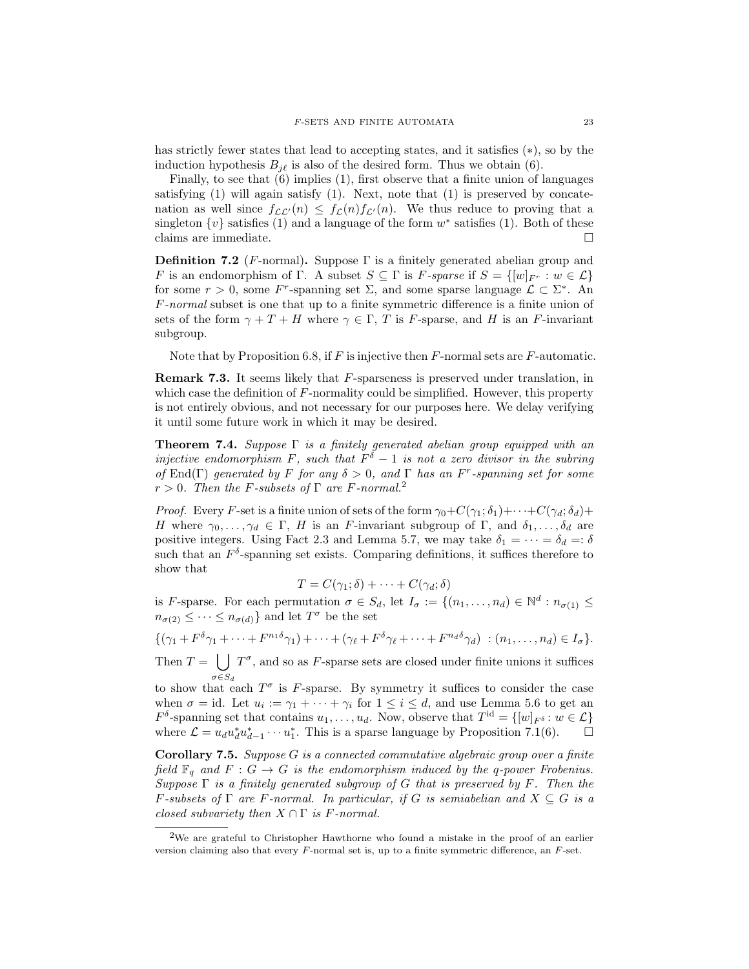has strictly fewer states that lead to accepting states, and it satisfies (∗), so by the induction hypothesis  $B_{j\ell}$  is also of the desired form. Thus we obtain (6).

Finally, to see that (6) implies (1), first observe that a finite union of languages satisfying  $(1)$  will again satisfy  $(1)$ . Next, note that  $(1)$  is preserved by concatenation as well since  $f_{\mathcal{L}\mathcal{L}'}(n) \leq f_{\mathcal{L}}(n) f_{\mathcal{L}'}(n)$ . We thus reduce to proving that a singleton  $\{v\}$  satisfies (1) and a language of the form  $w^*$  satisfies (1). Both of these claims are immediate.  $\Box$ 

**Definition 7.2** (F-normal). Suppose  $\Gamma$  is a finitely generated abelian group and F is an endomorphism of  $\Gamma$ . A subset  $S \subseteq \Gamma$  is F-sparse if  $S = \{[w]_{F^r} : w \in \mathcal{L}\}\$ for some  $r > 0$ , some F<sup>r</sup>-spanning set  $\Sigma$ , and some sparse language  $\mathcal{L} \subset \Sigma^*$ . An F-normal subset is one that up to a finite symmetric difference is a finite union of sets of the form  $\gamma + T + H$  where  $\gamma \in \Gamma$ , T is F-sparse, and H is an F-invariant subgroup.

Note that by Proposition 6.8, if  $F$  is injective then  $F$ -normal sets are  $F$ -automatic.

Remark 7.3. It seems likely that F-sparseness is preserved under translation, in which case the definition of  $F$ -normality could be simplified. However, this property is not entirely obvious, and not necessary for our purposes here. We delay verifying it until some future work in which it may be desired.

**Theorem 7.4.** Suppose  $\Gamma$  is a finitely generated abelian group equipped with an injective endomorphism F, such that  $F^{\delta} - 1$  is not a zero divisor in the subring of End(Γ) generated by F for any  $\delta > 0$ , and Γ has an F<sup>r</sup>-spanning set for some  $r > 0$ . Then the F-subsets of  $\Gamma$  are F-normal.<sup>2</sup>

*Proof.* Every F-set is a finite union of sets of the form  $\gamma_0+C(\gamma_1;\delta_1)+\cdots+C(\gamma_d;\delta_d)+$ H where  $\gamma_0, \ldots, \gamma_d \in \Gamma$ , H is an F-invariant subgroup of  $\Gamma$ , and  $\delta_1, \ldots, \delta_d$  are positive integers. Using Fact 2.3 and Lemma 5.7, we may take  $\delta_1 = \cdots = \delta_d =: \delta$ such that an  $F^{\delta}$ -spanning set exists. Comparing definitions, it suffices therefore to show that

$$
T = C(\gamma_1; \delta) + \cdots + C(\gamma_d; \delta)
$$

is F-sparse. For each permutation  $\sigma \in S_d$ , let  $I_{\sigma} := \{(n_1, \ldots, n_d) \in \mathbb{N}^d : n_{\sigma(1)} \leq$  $n_{\sigma(2)} \leq \cdots \leq n_{\sigma(d)}$  and let  $T^{\sigma}$  be the set

$$
\{(\gamma_1 + F^{\delta}\gamma_1 + \dots + F^{n_1\delta}\gamma_1) + \dots + (\gamma_\ell + F^{\delta}\gamma_\ell + \dots + F^{n_d\delta}\gamma_d) : (n_1, \dots, n_d) \in I_{\sigma}\}.
$$

Then  $T = \int T^{\sigma}$ , and so as F-sparse sets are closed under finite unions it suffices

 $\sigma \in S_d$ <br>to show that each  $T^{\sigma}$  is F-sparse. By symmetry it suffices to consider the case when  $\sigma = id$ . Let  $u_i := \gamma_1 + \cdots + \gamma_i$  for  $1 \leq i \leq d$ , and use Lemma 5.6 to get an  $F^{\delta}$ -spanning set that contains  $u_1, \ldots, u_d$ . Now, observe that  $T^{id} = \{ [w]_{F^{\delta}} : w \in \mathcal{L} \}$ where  $\mathcal{L} = u_d u_d^* u_{d-1}^* \cdots u_1^*$ . This is a sparse language by Proposition 7.1(6).  $\Box$ 

Corollary 7.5. Suppose G is a connected commutative algebraic group over a finite field  $\mathbb{F}_q$  and  $F : G \to G$  is the endomorphism induced by the q-power Frobenius. Suppose  $\Gamma$  is a finitely generated subgroup of G that is preserved by F. Then the F-subsets of  $\Gamma$  are F-normal. In particular, if G is semiabelian and  $X \subseteq G$  is a closed subvariety then  $X \cap \Gamma$  is F-normal.

<sup>2</sup>We are grateful to Christopher Hawthorne who found a mistake in the proof of an earlier version claiming also that every F-normal set is, up to a finite symmetric difference, an F-set.